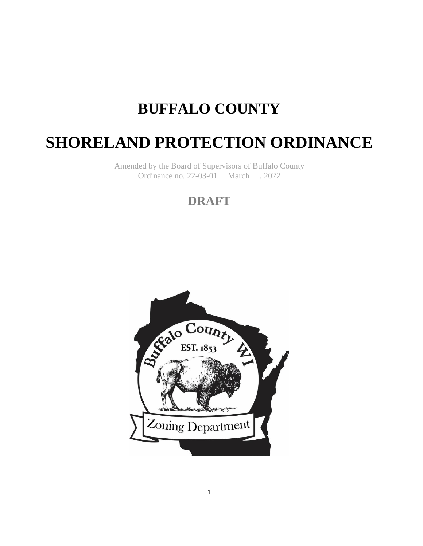# **BUFFALO COUNTY**

# **SHORELAND PROTECTION ORDINANCE**

Amended by the Board of Supervisors of Buffalo County Ordinance no. 22-03-01 March \_\_, 2022

# **DRAFT**

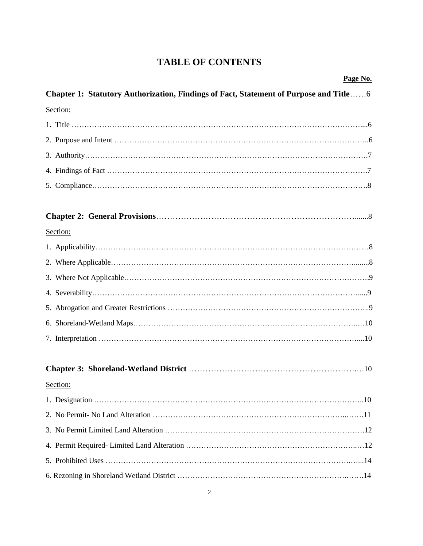# **TABLE OF CONTENTS**

| Page No.                                                                              |
|---------------------------------------------------------------------------------------|
| Chapter 1: Statutory Authorization, Findings of Fact, Statement of Purpose and Title6 |
| Section:                                                                              |
|                                                                                       |
|                                                                                       |
|                                                                                       |
|                                                                                       |
|                                                                                       |
|                                                                                       |
| Section:                                                                              |
|                                                                                       |
|                                                                                       |
|                                                                                       |
|                                                                                       |
|                                                                                       |
|                                                                                       |
|                                                                                       |
|                                                                                       |
| Section:                                                                              |
|                                                                                       |
|                                                                                       |
|                                                                                       |
|                                                                                       |
|                                                                                       |
|                                                                                       |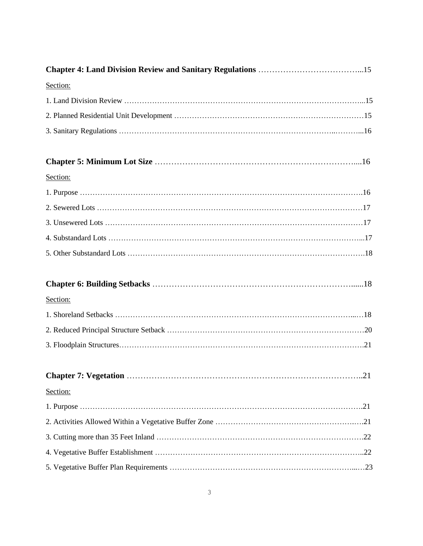| Section: |  |
|----------|--|
|          |  |
|          |  |
|          |  |
|          |  |
| Section: |  |
|          |  |
|          |  |
|          |  |
|          |  |
|          |  |
|          |  |
| Section: |  |
|          |  |
|          |  |
|          |  |
|          |  |
| Section: |  |
|          |  |
|          |  |
|          |  |
|          |  |
|          |  |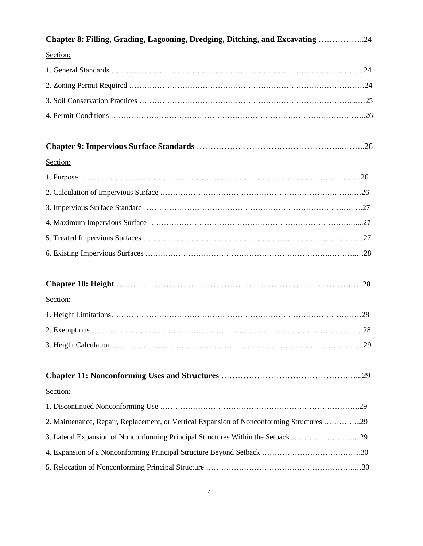| Chapter 8: Filling, Grading, Lagooning, Dredging, Ditching, and Excavating 24             |
|-------------------------------------------------------------------------------------------|
| Section:                                                                                  |
|                                                                                           |
|                                                                                           |
|                                                                                           |
|                                                                                           |
|                                                                                           |
| Section:                                                                                  |
|                                                                                           |
|                                                                                           |
|                                                                                           |
|                                                                                           |
|                                                                                           |
|                                                                                           |
| Section:                                                                                  |
|                                                                                           |
|                                                                                           |
|                                                                                           |
|                                                                                           |
| Section:                                                                                  |
|                                                                                           |
| 2. Maintenance, Repair, Replacement, or Vertical Expansion of Nonconforming Structures 29 |
| 3. Lateral Expansion of Nonconforming Principal Structures Within the Setback 29          |
|                                                                                           |
|                                                                                           |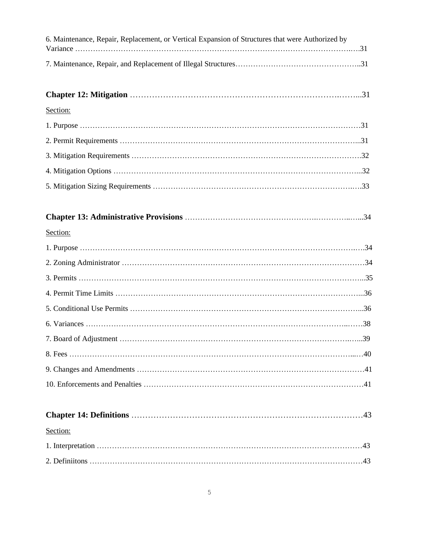| 6. Maintenance, Repair, Replacement, or Vertical Expansion of Structures that were Authorized by |
|--------------------------------------------------------------------------------------------------|
|                                                                                                  |
|                                                                                                  |
| Section:                                                                                         |
|                                                                                                  |
|                                                                                                  |
|                                                                                                  |
|                                                                                                  |
|                                                                                                  |
|                                                                                                  |
| Section:                                                                                         |
|                                                                                                  |
|                                                                                                  |
|                                                                                                  |
|                                                                                                  |
|                                                                                                  |
|                                                                                                  |
|                                                                                                  |
|                                                                                                  |
|                                                                                                  |
|                                                                                                  |
|                                                                                                  |
| Section:                                                                                         |
|                                                                                                  |
|                                                                                                  |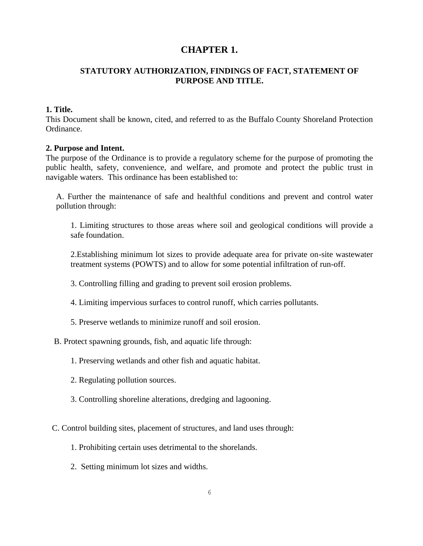# **CHAPTER 1.**

# **STATUTORY AUTHORIZATION, FINDINGS OF FACT, STATEMENT OF PURPOSE AND TITLE.**

# **1. Title.**

This Document shall be known, cited, and referred to as the Buffalo County Shoreland Protection Ordinance.

#### **2. Purpose and Intent.**

The purpose of the Ordinance is to provide a regulatory scheme for the purpose of promoting the public health, safety, convenience, and welfare, and promote and protect the public trust in navigable waters. This ordinance has been established to:

 A. Further the maintenance of safe and healthful conditions and prevent and control water pollution through:

1. Limiting structures to those areas where soil and geological conditions will provide a safe foundation.

2.Establishing minimum lot sizes to provide adequate area for private on-site wastewater treatment systems (POWTS) and to allow for some potential infiltration of run-off.

3. Controlling filling and grading to prevent soil erosion problems.

- 4. Limiting impervious surfaces to control runoff, which carries pollutants.
- 5. Preserve wetlands to minimize runoff and soil erosion.
- B. Protect spawning grounds, fish, and aquatic life through:
	- 1. Preserving wetlands and other fish and aquatic habitat.
	- 2. Regulating pollution sources.
	- 3. Controlling shoreline alterations, dredging and lagooning.
- C. Control building sites, placement of structures, and land uses through:
	- 1. Prohibiting certain uses detrimental to the shorelands.
	- 2. Setting minimum lot sizes and widths.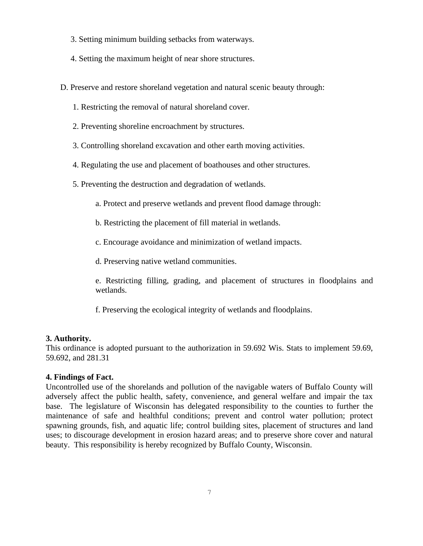- 3. Setting minimum building setbacks from waterways.
- 4. Setting the maximum height of near shore structures.

D. Preserve and restore shoreland vegetation and natural scenic beauty through:

- 1. Restricting the removal of natural shoreland cover.
- 2. Preventing shoreline encroachment by structures.
- 3. Controlling shoreland excavation and other earth moving activities.
- 4. Regulating the use and placement of boathouses and other structures.
- 5. Preventing the destruction and degradation of wetlands.
	- a. Protect and preserve wetlands and prevent flood damage through:
	- b. Restricting the placement of fill material in wetlands.
	- c. Encourage avoidance and minimization of wetland impacts.

d. Preserving native wetland communities.

e. Restricting filling, grading, and placement of structures in floodplains and wetlands.

f. Preserving the ecological integrity of wetlands and floodplains.

#### **3. Authority.**

This ordinance is adopted pursuant to the authorization in 59.692 Wis. Stats to implement 59.69, 59.692, and 281.31

#### **4. Findings of Fact.**

Uncontrolled use of the shorelands and pollution of the navigable waters of Buffalo County will adversely affect the public health, safety, convenience, and general welfare and impair the tax base. The legislature of Wisconsin has delegated responsibility to the counties to further the maintenance of safe and healthful conditions; prevent and control water pollution; protect spawning grounds, fish, and aquatic life; control building sites, placement of structures and land uses; to discourage development in erosion hazard areas; and to preserve shore cover and natural beauty. This responsibility is hereby recognized by Buffalo County, Wisconsin.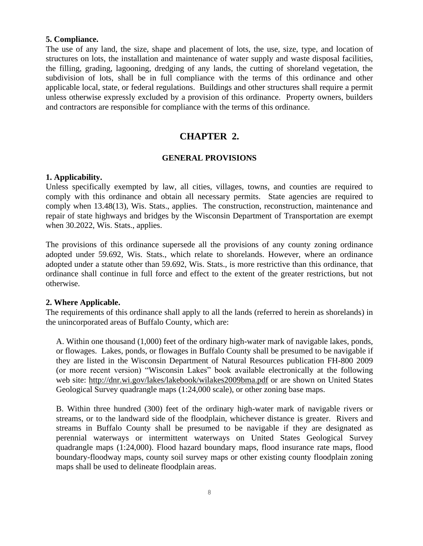#### **5. Compliance.**

The use of any land, the size, shape and placement of lots, the use, size, type, and location of structures on lots, the installation and maintenance of water supply and waste disposal facilities, the filling, grading, lagooning, dredging of any lands, the cutting of shoreland vegetation, the subdivision of lots, shall be in full compliance with the terms of this ordinance and other applicable local, state, or federal regulations. Buildings and other structures shall require a permit unless otherwise expressly excluded by a provision of this ordinance. Property owners, builders and contractors are responsible for compliance with the terms of this ordinance.

# **CHAPTER 2.**

#### **GENERAL PROVISIONS**

#### **1. Applicability.**

Unless specifically exempted by law, all cities, villages, towns, and counties are required to comply with this ordinance and obtain all necessary permits. State agencies are required to comply when 13.48(13), Wis. Stats., applies. The construction, reconstruction, maintenance and repair of state highways and bridges by the Wisconsin Department of Transportation are exempt when 30.2022, Wis. Stats., applies.

The provisions of this ordinance supersede all the provisions of any county zoning ordinance adopted under 59.692, Wis. Stats., which relate to shorelands. However, where an ordinance adopted under a statute other than 59.692, Wis. Stats., is more restrictive than this ordinance, that ordinance shall continue in full force and effect to the extent of the greater restrictions, but not otherwise.

#### **2. Where Applicable.**

The requirements of this ordinance shall apply to all the lands (referred to herein as shorelands) in the unincorporated areas of Buffalo County, which are:

 A. Within one thousand (1,000) feet of the ordinary high-water mark of navigable lakes, ponds, or flowages. Lakes, ponds, or flowages in Buffalo County shall be presumed to be navigable if they are listed in the Wisconsin Department of Natural Resources publication FH-800 2009 (or more recent version) "Wisconsin Lakes" book available electronically at the following web site: http://dnr.wi.gov/lakes/lakebook/wilakes2009bma.pdf or are shown on United States Geological Survey quadrangle maps (1:24,000 scale), or other zoning base maps.

 B. Within three hundred (300) feet of the ordinary high-water mark of navigable rivers or streams, or to the landward side of the floodplain, whichever distance is greater. Rivers and streams in Buffalo County shall be presumed to be navigable if they are designated as perennial waterways or intermittent waterways on United States Geological Survey quadrangle maps (1:24,000). Flood hazard boundary maps, flood insurance rate maps, flood boundary-floodway maps, county soil survey maps or other existing county floodplain zoning maps shall be used to delineate floodplain areas.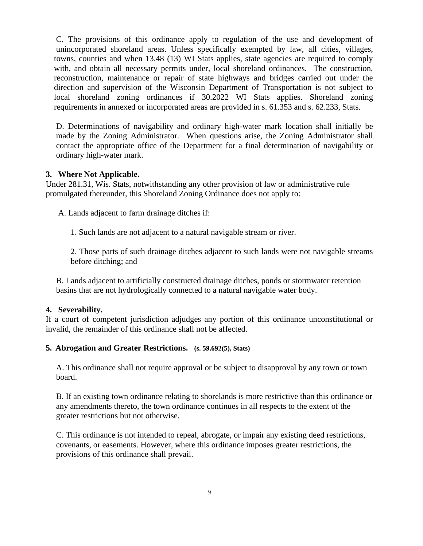C. The provisions of this ordinance apply to regulation of the use and development of unincorporated shoreland areas. Unless specifically exempted by law, all cities, villages, towns, counties and when 13.48 (13) WI Stats applies, state agencies are required to comply with, and obtain all necessary permits under, local shoreland ordinances. The construction, reconstruction, maintenance or repair of state highways and bridges carried out under the direction and supervision of the Wisconsin Department of Transportation is not subject to local shoreland zoning ordinances if 30.2022 WI Stats applies. Shoreland zoning requirements in annexed or incorporated areas are provided in s. 61.353 and s. 62.233, Stats.

 D. Determinations of navigability and ordinary high-water mark location shall initially be made by the Zoning Administrator. When questions arise, the Zoning Administrator shall contact the appropriate office of the Department for a final determination of navigability or ordinary high-water mark.

# **3. Where Not Applicable.**

Under 281.31, Wis. Stats, notwithstanding any other provision of law or administrative rule promulgated thereunder, this Shoreland Zoning Ordinance does not apply to:

A. Lands adjacent to farm drainage ditches if:

1. Such lands are not adjacent to a natural navigable stream or river.

2. Those parts of such drainage ditches adjacent to such lands were not navigable streams before ditching; and

 B. Lands adjacent to artificially constructed drainage ditches, ponds or stormwater retention basins that are not hydrologically connected to a natural navigable water body.

# **4. Severability.**

If a court of competent jurisdiction adjudges any portion of this ordinance unconstitutional or invalid, the remainder of this ordinance shall not be affected.

#### **5. Abrogation and Greater Restrictions. (s. 59.692(5), Stats)**

 A. This ordinance shall not require approval or be subject to disapproval by any town or town board.

 B. If an existing town ordinance relating to shorelands is more restrictive than this ordinance or any amendments thereto, the town ordinance continues in all respects to the extent of the greater restrictions but not otherwise.

 C. This ordinance is not intended to repeal, abrogate, or impair any existing deed restrictions, covenants, or easements. However, where this ordinance imposes greater restrictions, the provisions of this ordinance shall prevail.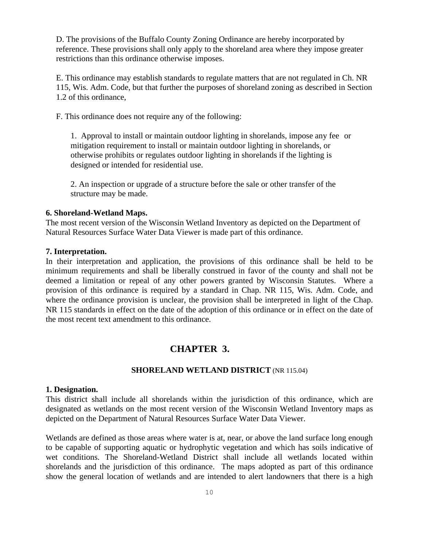D. The provisions of the Buffalo County Zoning Ordinance are hereby incorporated by reference. These provisions shall only apply to the shoreland area where they impose greater restrictions than this ordinance otherwise imposes.

 E. This ordinance may establish standards to regulate matters that are not regulated in Ch. NR 115, Wis. Adm. Code, but that further the purposes of shoreland zoning as described in Section 1.2 of this ordinance,

F. This ordinance does not require any of the following:

1. Approval to install or maintain outdoor lighting in shorelands, impose any fee or mitigation requirement to install or maintain outdoor lighting in shorelands, or otherwise prohibits or regulates outdoor lighting in shorelands if the lighting is designed or intended for residential use.

2. An inspection or upgrade of a structure before the sale or other transfer of the structure may be made.

#### **6. Shoreland-Wetland Maps.**

The most recent version of the Wisconsin Wetland Inventory as depicted on the Department of Natural Resources Surface Water Data Viewer is made part of this ordinance.

#### **7. Interpretation.**

In their interpretation and application, the provisions of this ordinance shall be held to be minimum requirements and shall be liberally construed in favor of the county and shall not be deemed a limitation or repeal of any other powers granted by Wisconsin Statutes. Where a provision of this ordinance is required by a standard in Chap. NR 115, Wis. Adm. Code, and where the ordinance provision is unclear, the provision shall be interpreted in light of the Chap. NR 115 standards in effect on the date of the adoption of this ordinance or in effect on the date of the most recent text amendment to this ordinance.

# **CHAPTER 3.**

#### **SHORELAND WETLAND DISTRICT** (NR 115.04)

#### **1. Designation.**

This district shall include all shorelands within the jurisdiction of this ordinance, which are designated as wetlands on the most recent version of the Wisconsin Wetland Inventory maps as depicted on the Department of Natural Resources Surface Water Data Viewer.

Wetlands are defined as those areas where water is at, near, or above the land surface long enough to be capable of supporting aquatic or hydrophytic vegetation and which has soils indicative of wet conditions. The Shoreland-Wetland District shall include all wetlands located within shorelands and the jurisdiction of this ordinance. The maps adopted as part of this ordinance show the general location of wetlands and are intended to alert landowners that there is a high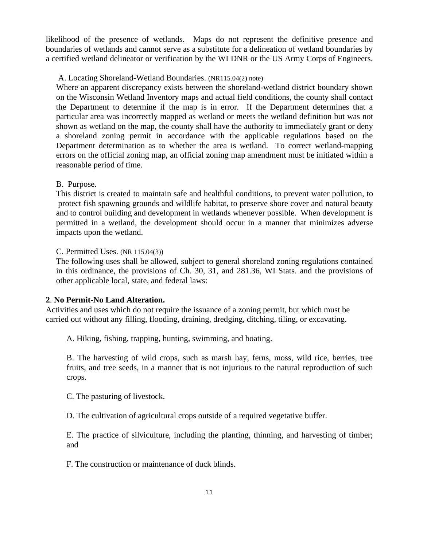likelihood of the presence of wetlands. Maps do not represent the definitive presence and boundaries of wetlands and cannot serve as a substitute for a delineation of wetland boundaries by a certified wetland delineator or verification by the WI DNR or the US Army Corps of Engineers.

# A. Locating Shoreland-Wetland Boundaries. (NR115.04(2) note)

 Where an apparent discrepancy exists between the shoreland-wetland district boundary shown on the Wisconsin Wetland Inventory maps and actual field conditions, the county shall contact the Department to determine if the map is in error. If the Department determines that a particular area was incorrectly mapped as wetland or meets the wetland definition but was not shown as wetland on the map, the county shall have the authority to immediately grant or deny a shoreland zoning permit in accordance with the applicable regulations based on the Department determination as to whether the area is wetland. To correct wetland-mapping errors on the official zoning map, an official zoning map amendment must be initiated within a reasonable period of time.

# B. Purpose.

 This district is created to maintain safe and healthful conditions, to prevent water pollution, to protect fish spawning grounds and wildlife habitat, to preserve shore cover and natural beauty and to control building and development in wetlands whenever possible. When development is permitted in a wetland, the development should occur in a manner that minimizes adverse impacts upon the wetland.

C. Permitted Uses. (NR 115.04(3))

 The following uses shall be allowed, subject to general shoreland zoning regulations contained in this ordinance, the provisions of Ch. 30, 31, and 281.36, WI Stats. and the provisions of other applicable local, state, and federal laws:

# **2**. **No Permit-No Land Alteration.**

Activities and uses which do not require the issuance of a zoning permit, but which must be carried out without any filling, flooding, draining, dredging, ditching, tiling, or excavating.

A. Hiking, fishing, trapping, hunting, swimming, and boating.

B. The harvesting of wild crops, such as marsh hay, ferns, moss, wild rice, berries, tree fruits, and tree seeds, in a manner that is not injurious to the natural reproduction of such crops.

C. The pasturing of livestock.

D. The cultivation of agricultural crops outside of a required vegetative buffer.

E. The practice of silviculture, including the planting, thinning, and harvesting of timber; and

F. The construction or maintenance of duck blinds.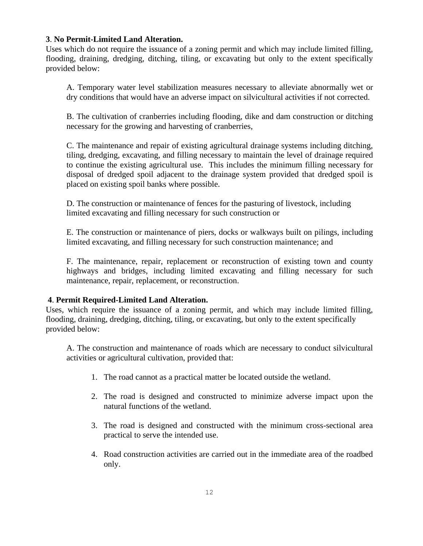#### **3**. **No Permit-Limited Land Alteration.**

Uses which do not require the issuance of a zoning permit and which may include limited filling, flooding, draining, dredging, ditching, tiling, or excavating but only to the extent specifically provided below:

A. Temporary water level stabilization measures necessary to alleviate abnormally wet or dry conditions that would have an adverse impact on silvicultural activities if not corrected.

B. The cultivation of cranberries including flooding, dike and dam construction or ditching necessary for the growing and harvesting of cranberries,

C. The maintenance and repair of existing agricultural drainage systems including ditching, tiling, dredging, excavating, and filling necessary to maintain the level of drainage required to continue the existing agricultural use. This includes the minimum filling necessary for disposal of dredged spoil adjacent to the drainage system provided that dredged spoil is placed on existing spoil banks where possible.

D. The construction or maintenance of fences for the pasturing of livestock, including limited excavating and filling necessary for such construction or

E. The construction or maintenance of piers, docks or walkways built on pilings, including limited excavating, and filling necessary for such construction maintenance; and

F. The maintenance, repair, replacement or reconstruction of existing town and county highways and bridges, including limited excavating and filling necessary for such maintenance, repair, replacement, or reconstruction.

# **4**. **Permit Required-Limited Land Alteration.**

Uses, which require the issuance of a zoning permit, and which may include limited filling, flooding, draining, dredging, ditching, tiling, or excavating, but only to the extent specifically provided below:

A. The construction and maintenance of roads which are necessary to conduct silvicultural activities or agricultural cultivation, provided that:

- 1. The road cannot as a practical matter be located outside the wetland.
- 2. The road is designed and constructed to minimize adverse impact upon the natural functions of the wetland.
- 3. The road is designed and constructed with the minimum cross-sectional area practical to serve the intended use.
- 4. Road construction activities are carried out in the immediate area of the roadbed only.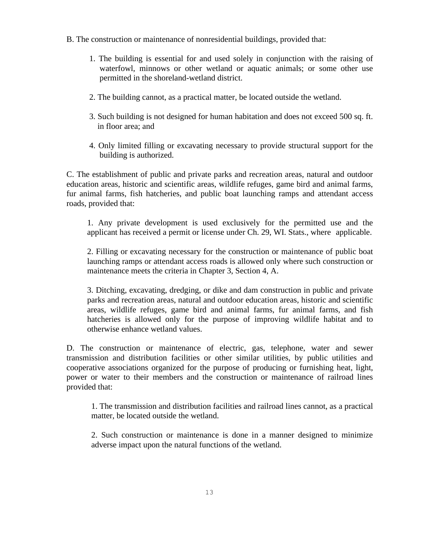- B. The construction or maintenance of nonresidential buildings, provided that:
	- 1. The building is essential for and used solely in conjunction with the raising of waterfowl, minnows or other wetland or aquatic animals; or some other use permitted in the shoreland-wetland district.
	- 2. The building cannot, as a practical matter, be located outside the wetland.
	- 3. Such building is not designed for human habitation and does not exceed 500 sq. ft. in floor area; and
	- 4. Only limited filling or excavating necessary to provide structural support for the building is authorized.

C. The establishment of public and private parks and recreation areas, natural and outdoor education areas, historic and scientific areas, wildlife refuges, game bird and animal farms, fur animal farms, fish hatcheries, and public boat launching ramps and attendant access roads, provided that:

1. Any private development is used exclusively for the permitted use and the applicant has received a permit or license under Ch. 29, WI. Stats., where applicable.

2. Filling or excavating necessary for the construction or maintenance of public boat launching ramps or attendant access roads is allowed only where such construction or maintenance meets the criteria in Chapter 3, Section 4, A.

3. Ditching, excavating, dredging, or dike and dam construction in public and private parks and recreation areas, natural and outdoor education areas, historic and scientific areas, wildlife refuges, game bird and animal farms, fur animal farms, and fish hatcheries is allowed only for the purpose of improving wildlife habitat and to otherwise enhance wetland values.

D. The construction or maintenance of electric, gas, telephone, water and sewer transmission and distribution facilities or other similar utilities, by public utilities and cooperative associations organized for the purpose of producing or furnishing heat, light, power or water to their members and the construction or maintenance of railroad lines provided that:

1. The transmission and distribution facilities and railroad lines cannot, as a practical matter, be located outside the wetland.

2. Such construction or maintenance is done in a manner designed to minimize adverse impact upon the natural functions of the wetland.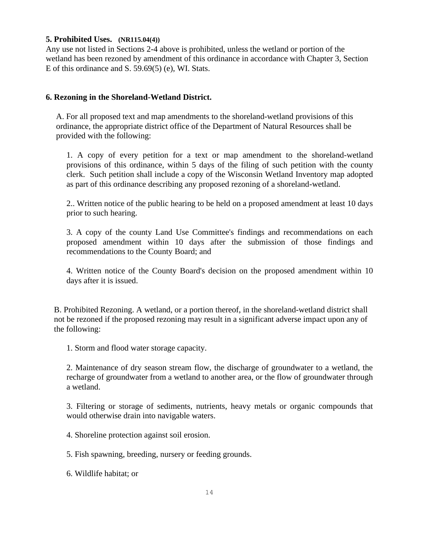#### **5. Prohibited Uses. (NR115.04(4))**

Any use not listed in Sections 2-4 above is prohibited, unless the wetland or portion of the wetland has been rezoned by amendment of this ordinance in accordance with Chapter 3, Section E of this ordinance and S. 59.69(5) (e), WI. Stats.

# **6. Rezoning in the Shoreland-Wetland District.**

 A. For all proposed text and map amendments to the shoreland-wetland provisions of this ordinance, the appropriate district office of the Department of Natural Resources shall be provided with the following:

1. A copy of every petition for a text or map amendment to the shoreland-wetland provisions of this ordinance, within 5 days of the filing of such petition with the county clerk. Such petition shall include a copy of the Wisconsin Wetland Inventory map adopted as part of this ordinance describing any proposed rezoning of a shoreland-wetland.

2.. Written notice of the public hearing to be held on a proposed amendment at least 10 days prior to such hearing.

3. A copy of the county Land Use Committee's findings and recommendations on each proposed amendment within 10 days after the submission of those findings and recommendations to the County Board; and

4. Written notice of the County Board's decision on the proposed amendment within 10 days after it is issued.

 B. Prohibited Rezoning. A wetland, or a portion thereof, in the shoreland-wetland district shall not be rezoned if the proposed rezoning may result in a significant adverse impact upon any of the following:

1. Storm and flood water storage capacity.

2. Maintenance of dry season stream flow, the discharge of groundwater to a wetland, the recharge of groundwater from a wetland to another area, or the flow of groundwater through a wetland.

3. Filtering or storage of sediments, nutrients, heavy metals or organic compounds that would otherwise drain into navigable waters.

4. Shoreline protection against soil erosion.

5. Fish spawning, breeding, nursery or feeding grounds.

6. Wildlife habitat; or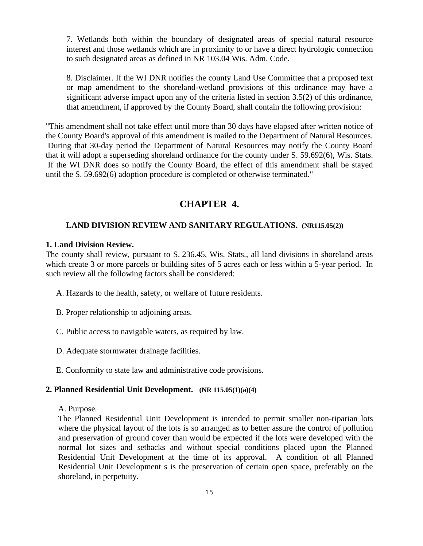7. Wetlands both within the boundary of designated areas of special natural resource interest and those wetlands which are in proximity to or have a direct hydrologic connection to such designated areas as defined in NR 103.04 Wis. Adm. Code.

8. Disclaimer. If the WI DNR notifies the county Land Use Committee that a proposed text or map amendment to the shoreland-wetland provisions of this ordinance may have a significant adverse impact upon any of the criteria listed in section 3.5(2) of this ordinance, that amendment, if approved by the County Board, shall contain the following provision:

"This amendment shall not take effect until more than 30 days have elapsed after written notice of the County Board's approval of this amendment is mailed to the Department of Natural Resources. During that 30-day period the Department of Natural Resources may notify the County Board that it will adopt a superseding shoreland ordinance for the county under S. 59.692(6), Wis. Stats. If the WI DNR does so notify the County Board, the effect of this amendment shall be stayed until the S. 59.692(6) adoption procedure is completed or otherwise terminated."

# **CHAPTER 4.**

# **LAND DIVISION REVIEW AND SANITARY REGULATIONS. (NR115.05(2))**

#### **1. Land Division Review.**

The county shall review, pursuant to S. 236.45, Wis. Stats., all land divisions in shoreland areas which create 3 or more parcels or building sites of 5 acres each or less within a 5-year period. In such review all the following factors shall be considered:

- A. Hazards to the health, safety, or welfare of future residents.
- B. Proper relationship to adjoining areas.
- C. Public access to navigable waters, as required by law.
- D. Adequate stormwater drainage facilities.
- E. Conformity to state law and administrative code provisions.

#### **2. Planned Residential Unit Development. (NR 115.05(1)(a)(4)**

#### A. Purpose.

 The Planned Residential Unit Development is intended to permit smaller non-riparian lots where the physical layout of the lots is so arranged as to better assure the control of pollution and preservation of ground cover than would be expected if the lots were developed with the normal lot sizes and setbacks and without special conditions placed upon the Planned Residential Unit Development at the time of its approval. A condition of all Planned Residential Unit Development s is the preservation of certain open space, preferably on the shoreland, in perpetuity.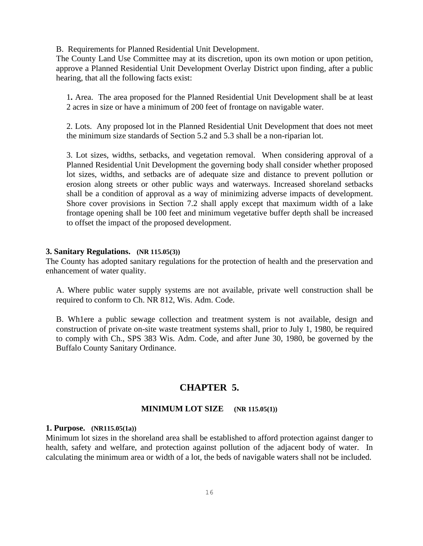B. Requirements for Planned Residential Unit Development.

The County Land Use Committee may at its discretion, upon its own motion or upon petition, approve a Planned Residential Unit Development Overlay District upon finding, after a public hearing, that all the following facts exist:

1**.** Area. The area proposed for the Planned Residential Unit Development shall be at least 2 acres in size or have a minimum of 200 feet of frontage on navigable water.

2. Lots. Any proposed lot in the Planned Residential Unit Development that does not meet the minimum size standards of Section 5.2 and 5.3 shall be a non-riparian lot.

3. Lot sizes, widths, setbacks, and vegetation removal. When considering approval of a Planned Residential Unit Development the governing body shall consider whether proposed lot sizes, widths, and setbacks are of adequate size and distance to prevent pollution or erosion along streets or other public ways and waterways. Increased shoreland setbacks shall be a condition of approval as a way of minimizing adverse impacts of development. Shore cover provisions in Section 7.2 shall apply except that maximum width of a lake frontage opening shall be 100 feet and minimum vegetative buffer depth shall be increased to offset the impact of the proposed development.

#### **3. Sanitary Regulations. (NR 115.05(3))**

The County has adopted sanitary regulations for the protection of health and the preservation and enhancement of water quality.

 A. Where public water supply systems are not available, private well construction shall be required to conform to Ch. NR 812, Wis. Adm. Code.

 B. Wh1ere a public sewage collection and treatment system is not available, design and construction of private on-site waste treatment systems shall, prior to July 1, 1980, be required to comply with Ch., SPS 383 Wis. Adm. Code, and after June 30, 1980, be governed by the Buffalo County Sanitary Ordinance.

# **CHAPTER 5.**

# **MINIMUM LOT SIZE (NR 115.05(1))**

#### **1. Purpose. (NR115.05(1a))**

Minimum lot sizes in the shoreland area shall be established to afford protection against danger to health, safety and welfare, and protection against pollution of the adjacent body of water. In calculating the minimum area or width of a lot, the beds of navigable waters shall not be included.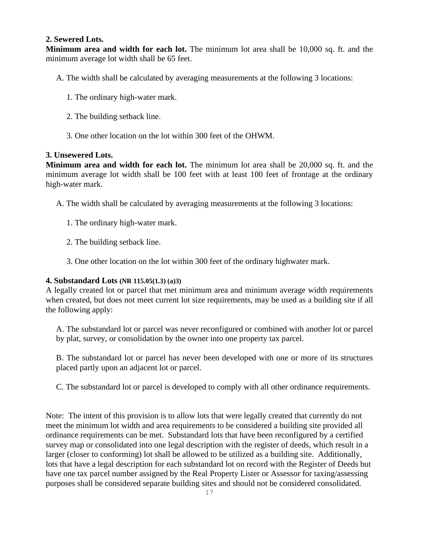# **2. Sewered Lots.**

**Minimum area and width for each lot.** The minimum lot area shall be 10,000 sq. ft. and the minimum average lot width shall be 65 feet.

- A. The width shall be calculated by averaging measurements at the following 3 locations:
	- 1. The ordinary high-water mark.
	- 2. The building setback line.
	- 3. One other location on the lot within 300 feet of the OHWM.

# **3. Unsewered Lots.**

**Minimum area and width for each lot.** The minimum lot area shall be 20,000 sq. ft. and the minimum average lot width shall be 100 feet with at least 100 feet of frontage at the ordinary high-water mark.

- A. The width shall be calculated by averaging measurements at the following 3 locations:
	- 1. The ordinary high-water mark.
	- 2. The building setback line.
	- 3. One other location on the lot within 300 feet of the ordinary highwater mark.

# **4. Substandard Lots (NR 115.05(1.3) (a)3)**

A legally created lot or parcel that met minimum area and minimum average width requirements when created, but does not meet current lot size requirements, may be used as a building site if all the following apply:

 A. The substandard lot or parcel was never reconfigured or combined with another lot or parcel by plat, survey, or consolidation by the owner into one property tax parcel.

 B. The substandard lot or parcel has never been developed with one or more of its structures placed partly upon an adjacent lot or parcel.

C. The substandard lot or parcel is developed to comply with all other ordinance requirements.

Note: The intent of this provision is to allow lots that were legally created that currently do not meet the minimum lot width and area requirements to be considered a building site provided all ordinance requirements can be met. Substandard lots that have been reconfigured by a certified survey map or consolidated into one legal description with the register of deeds, which result in a larger (closer to conforming) lot shall be allowed to be utilized as a building site. Additionally, lots that have a legal description for each substandard lot on record with the Register of Deeds but have one tax parcel number assigned by the Real Property Lister or Assessor for taxing/assessing purposes shall be considered separate building sites and should not be considered consolidated.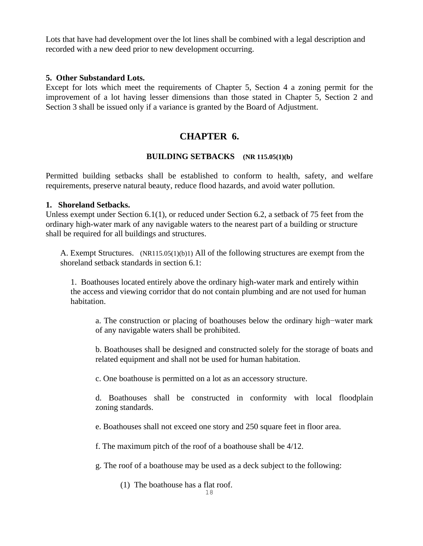Lots that have had development over the lot lines shall be combined with a legal description and recorded with a new deed prior to new development occurring.

#### **5. Other Substandard Lots.**

Except for lots which meet the requirements of Chapter 5, Section 4 a zoning permit for the improvement of a lot having lesser dimensions than those stated in Chapter 5, Section 2 and Section 3 shall be issued only if a variance is granted by the Board of Adjustment.

# **CHAPTER 6.**

# **BUILDING SETBACKS (NR 115.05(1)(b)**

Permitted building setbacks shall be established to conform to health, safety, and welfare requirements, preserve natural beauty, reduce flood hazards, and avoid water pollution.

# **1. Shoreland Setbacks.**

Unless exempt under Section 6.1(1), or reduced under Section 6.2, a setback of 75 feet from the ordinary high-water mark of any navigable waters to the nearest part of a building or structure shall be required for all buildings and structures.

A. Exempt Structures.(NR115.05(1)(b)1) All of the following structures are exempt from the shoreland setback standards in section 6.1:

1.Boathouses located entirely above the ordinary high-water mark and entirely within the access and viewing corridor that do not contain plumbing and are not used for human habitation.

a. The construction or placing of boathouses below the ordinary high−water mark of any navigable waters shall be prohibited.

b. Boathouses shall be designed and constructed solely for the storage of boats and related equipment and shall not be used for human habitation.

c. One boathouse is permitted on a lot as an accessory structure.

d. Boathouses shall be constructed in conformity with local floodplain zoning standards.

e. Boathouses shall not exceed one story and 250 square feet in floor area.

f. The maximum pitch of the roof of a boathouse shall be 4/12.

g. The roof of a boathouse may be used as a deck subject to the following:

(1) The boathouse has a flat roof.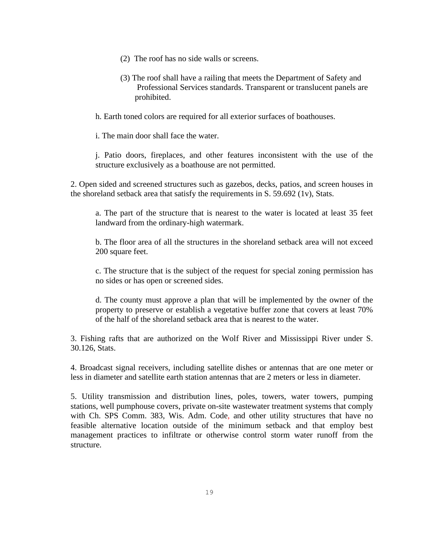- (2) The roof has no side walls or screens.
- (3) The roof shall have a railing that meets the Department of Safety and Professional Services standards. Transparent or translucent panels are prohibited.

h. Earth toned colors are required for all exterior surfaces of boathouses.

i. The main door shall face the water.

j. Patio doors, fireplaces, and other features inconsistent with the use of the structure exclusively as a boathouse are not permitted.

2. Open sided and screened structures such as gazebos, decks, patios, and screen houses in the shoreland setback area that satisfy the requirements in S. 59.692 (1v), Stats.

a. The part of the structure that is nearest to the water is located at least 35 feet landward from the ordinary-high watermark.

b. The floor area of all the structures in the shoreland setback area will not exceed 200 square feet.

c. The structure that is the subject of the request for special zoning permission has no sides or has open or screened sides.

d. The county must approve a plan that will be implemented by the owner of the property to preserve or establish a vegetative buffer zone that covers at least 70% of the half of the shoreland setback area that is nearest to the water.

3. Fishing rafts that are authorized on the Wolf River and Mississippi River under S. 30.126, Stats.

4. Broadcast signal receivers, including satellite dishes or antennas that are one meter or less in diameter and satellite earth station antennas that are 2 meters or less in diameter.

5. Utility transmission and distribution lines, poles, towers, water towers, pumping stations, well pumphouse covers, private on-site wastewater treatment systems that comply with Ch. SPS Comm. 383, Wis. Adm. Code, and other utility structures that have no feasible alternative location outside of the minimum setback and that employ best management practices to infiltrate or otherwise control storm water runoff from the structure.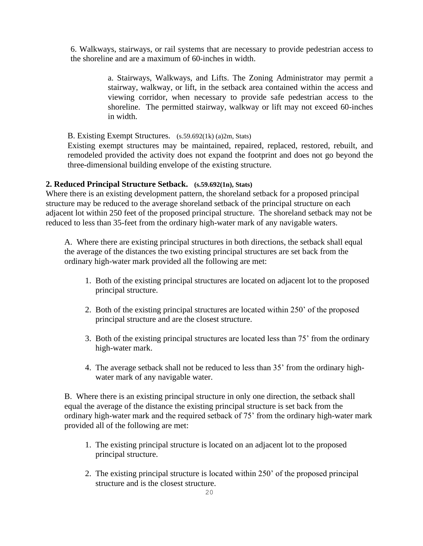6. Walkways, stairways, or rail systems that are necessary to provide pedestrian access to the shoreline and are a maximum of 60-inches in width.

> a. Stairways, Walkways, and Lifts. The Zoning Administrator may permit a stairway, walkway, or lift, in the setback area contained within the access and viewing corridor, when necessary to provide safe pedestrian access to the shoreline. The permitted stairway, walkway or lift may not exceed 60-inches in width.

B. Existing Exempt Structures.(s.59.692(1k) (a)2m, Stats)

Existing exempt structures may be maintained, repaired, replaced, restored, rebuilt, and remodeled provided the activity does not expand the footprint and does not go beyond the three-dimensional building envelope of the existing structure.

#### **2. Reduced Principal Structure Setback. (s.59.692(1n), Stats)**

Where there is an existing development pattern, the shoreland setback for a proposed principal structure may be reduced to the average shoreland setback of the principal structure on each adjacent lot within 250 feet of the proposed principal structure. The shoreland setback may not be reduced to less than 35-feet from the ordinary high-water mark of any navigable waters.

A. Where there are existing principal structures in both directions, the setback shall equal the average of the distances the two existing principal structures are set back from the ordinary high-water mark provided all the following are met:

- 1. Both of the existing principal structures are located on adjacent lot to the proposed principal structure.
- 2. Both of the existing principal structures are located within 250' of the proposed principal structure and are the closest structure.
- 3. Both of the existing principal structures are located less than 75' from the ordinary high-water mark.
- 4. The average setback shall not be reduced to less than 35' from the ordinary highwater mark of any navigable water.

B. Where there is an existing principal structure in only one direction, the setback shall equal the average of the distance the existing principal structure is set back from the ordinary high-water mark and the required setback of 75' from the ordinary high-water mark provided all of the following are met:

- 1. The existing principal structure is located on an adjacent lot to the proposed principal structure.
- 2. The existing principal structure is located within 250' of the proposed principal structure and is the closest structure.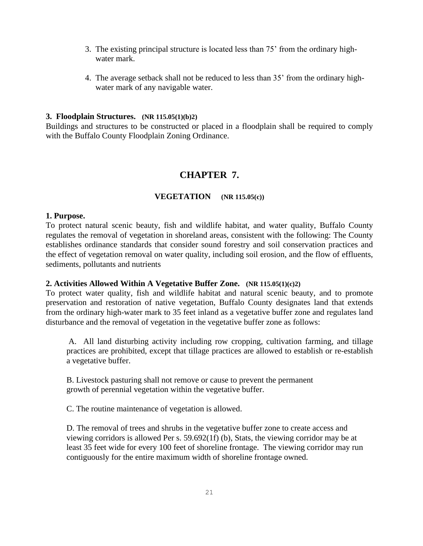- 3. The existing principal structure is located less than 75' from the ordinary highwater mark.
- 4. The average setback shall not be reduced to less than 35' from the ordinary highwater mark of any navigable water.

#### **3. Floodplain Structures. (NR 115.05(1)(b)2)**

Buildings and structures to be constructed or placed in a floodplain shall be required to comply with the Buffalo County Floodplain Zoning Ordinance.

# **CHAPTER 7.**

#### **VEGETATION (NR 115.05(c))**

#### **1. Purpose.**

To protect natural scenic beauty, fish and wildlife habitat, and water quality, Buffalo County regulates the removal of vegetation in shoreland areas, consistent with the following: The County establishes ordinance standards that consider sound forestry and soil conservation practices and the effect of vegetation removal on water quality, including soil erosion, and the flow of effluents, sediments, pollutants and nutrients

#### **2. Activities Allowed Within A Vegetative Buffer Zone. (NR 115.05(1)(c)2)**

To protect water quality, fish and wildlife habitat and natural scenic beauty, and to promote preservation and restoration of native vegetation, Buffalo County designates land that extends from the ordinary high-water mark to 35 feet inland as a vegetative buffer zone and regulates land disturbance and the removal of vegetation in the vegetative buffer zone as follows:

A. All land disturbing activity including row cropping, cultivation farming, and tillage practices are prohibited, except that tillage practices are allowed to establish or re-establish a vegetative buffer.

B. Livestock pasturing shall not remove or cause to prevent the permanent growth of perennial vegetation within the vegetative buffer.

C. The routine maintenance of vegetation is allowed.

D. The removal of trees and shrubs in the vegetative buffer zone to create access and viewing corridors is allowed Per s. 59.692(1f) (b), Stats, the viewing corridor may be at least 35 feet wide for every 100 feet of shoreline frontage. The viewing corridor may run contiguously for the entire maximum width of shoreline frontage owned.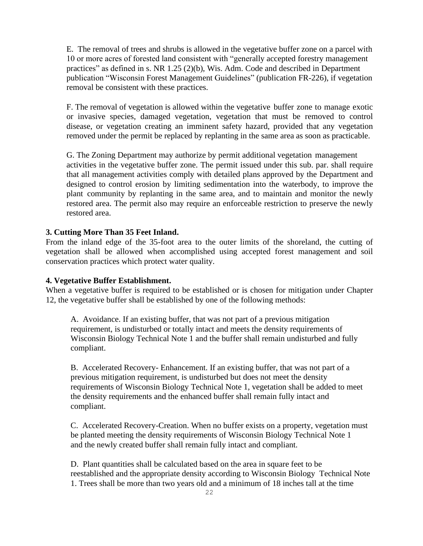E. The removal of trees and shrubs is allowed in the vegetative buffer zone on a parcel with 10 or more acres of forested land consistent with "generally accepted forestry management practices" as defined in s. NR 1.25 (2)(b), Wis. Adm. Code and described in Department publication "Wisconsin Forest Management Guidelines" (publication FR-226), if vegetation removal be consistent with these practices.

F. The removal of vegetation is allowed within the vegetative buffer zone to manage exotic or invasive species, damaged vegetation, vegetation that must be removed to control disease, or vegetation creating an imminent safety hazard, provided that any vegetation removed under the permit be replaced by replanting in the same area as soon as practicable.

G. The Zoning Department may authorize by permit additional vegetation management activities in the vegetative buffer zone. The permit issued under this sub. par. shall require that all management activities comply with detailed plans approved by the Department and designed to control erosion by limiting sedimentation into the waterbody, to improve the plant community by replanting in the same area, and to maintain and monitor the newly restored area. The permit also may require an enforceable restriction to preserve the newly restored area.

#### **3. Cutting More Than 35 Feet Inland.**

From the inland edge of the 35-foot area to the outer limits of the shoreland, the cutting of vegetation shall be allowed when accomplished using accepted forest management and soil conservation practices which protect water quality.

#### **4. Vegetative Buffer Establishment.**

When a vegetative buffer is required to be established or is chosen for mitigation under Chapter 12, the vegetative buffer shall be established by one of the following methods:

A. Avoidance. If an existing buffer, that was not part of a previous mitigation requirement, is undisturbed or totally intact and meets the density requirements of Wisconsin Biology Technical Note 1 and the buffer shall remain undisturbed and fully compliant.

B. Accelerated Recovery- Enhancement. If an existing buffer, that was not part of a previous mitigation requirement, is undisturbed but does not meet the density requirements of Wisconsin Biology Technical Note 1, vegetation shall be added to meet the density requirements and the enhanced buffer shall remain fully intact and compliant.

C. Accelerated Recovery-Creation. When no buffer exists on a property, vegetation must be planted meeting the density requirements of Wisconsin Biology Technical Note 1 and the newly created buffer shall remain fully intact and compliant.

D. Plant quantities shall be calculated based on the area in square feet to be reestablished and the appropriate density according to Wisconsin Biology Technical Note 1. Trees shall be more than two years old and a minimum of 18 inches tall at the time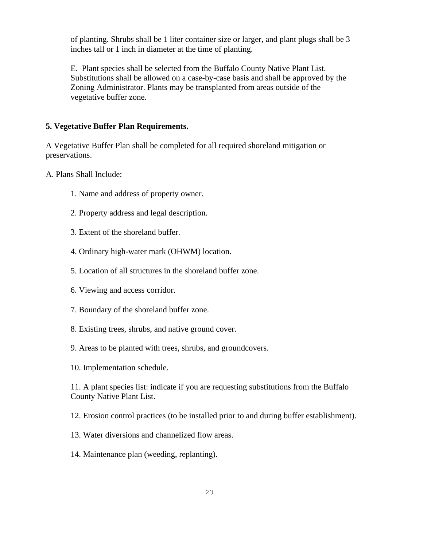of planting. Shrubs shall be 1 liter container size or larger, and plant plugs shall be 3 inches tall or 1 inch in diameter at the time of planting.

E. Plant species shall be selected from the Buffalo County Native Plant List. Substitutions shall be allowed on a case-by-case basis and shall be approved by the Zoning Administrator. Plants may be transplanted from areas outside of the vegetative buffer zone.

#### **5. Vegetative Buffer Plan Requirements.**

A Vegetative Buffer Plan shall be completed for all required shoreland mitigation or preservations.

A. Plans Shall Include:

- 1. Name and address of property owner.
- 2. Property address and legal description.
- 3. Extent of the shoreland buffer.
- 4. Ordinary high-water mark (OHWM) location.
- 5. Location of all structures in the shoreland buffer zone.
- 6. Viewing and access corridor.
- 7. Boundary of the shoreland buffer zone.
- 8. Existing trees, shrubs, and native ground cover.
- 9. Areas to be planted with trees, shrubs, and groundcovers.
- 10. Implementation schedule.

11. A plant species list: indicate if you are requesting substitutions from the Buffalo County Native Plant List.

12. Erosion control practices (to be installed prior to and during buffer establishment).

- 13. Water diversions and channelized flow areas.
- 14. Maintenance plan (weeding, replanting).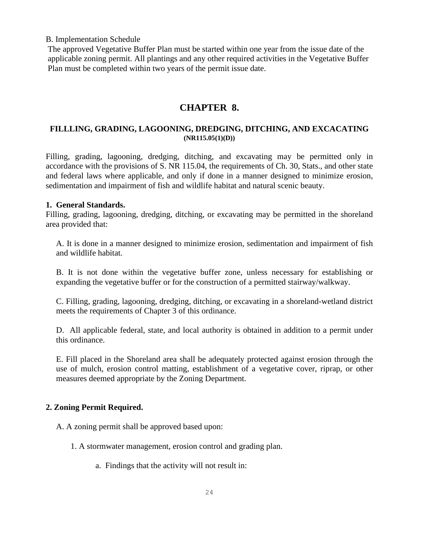B. Implementation Schedule

The approved Vegetative Buffer Plan must be started within one year from the issue date of the applicable zoning permit. All plantings and any other required activities in the Vegetative Buffer Plan must be completed within two years of the permit issue date.

# **CHAPTER 8.**

# **FILLLING, GRADING, LAGOONING, DREDGING, DITCHING, AND EXCACATING (NR115.05(1)(D))**

Filling, grading, lagooning, dredging, ditching, and excavating may be permitted only in accordance with the provisions of S. NR 115.04, the requirements of Ch. 30, Stats., and other state and federal laws where applicable, and only if done in a manner designed to minimize erosion, sedimentation and impairment of fish and wildlife habitat and natural scenic beauty.

# **1. General Standards.**

Filling, grading, lagooning, dredging, ditching, or excavating may be permitted in the shoreland area provided that:

 A. It is done in a manner designed to minimize erosion, sedimentation and impairment of fish and wildlife habitat.

 B. It is not done within the vegetative buffer zone, unless necessary for establishing or expanding the vegetative buffer or for the construction of a permitted stairway/walkway.

 C. Filling, grading, lagooning, dredging, ditching, or excavating in a shoreland-wetland district meets the requirements of Chapter 3 of this ordinance.

 D. All applicable federal, state, and local authority is obtained in addition to a permit under this ordinance.

 E. Fill placed in the Shoreland area shall be adequately protected against erosion through the use of mulch, erosion control matting, establishment of a vegetative cover, riprap, or other measures deemed appropriate by the Zoning Department.

# **2. Zoning Permit Required.**

A. A zoning permit shall be approved based upon:

- 1. A stormwater management, erosion control and grading plan.
	- a. Findings that the activity will not result in: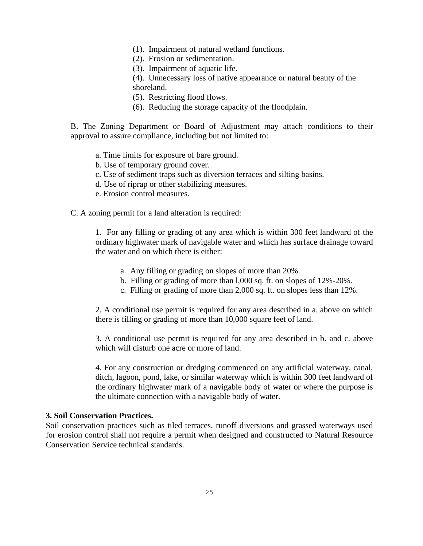- (1). Impairment of natural wetland functions.
- (2). Erosion or sedimentation.
- (3). Impairment of aquatic life.

(4). Unnecessary loss of native appearance or natural beauty of the shoreland.

- (5). Restricting flood flows.
- (6). Reducing the storage capacity of the floodplain.

B. The Zoning Department or Board of Adjustment may attach conditions to their approval to assure compliance, including but not limited to:

- a. Time limits for exposure of bare ground.
- b. Use of temporary ground cover.
- c. Use of sediment traps such as diversion terraces and silting basins.
- d. Use of riprap or other stabilizing measures.
- e. Erosion control measures.

C. A zoning permit for a land alteration is required:

1. For any filling or grading of any area which is within 300 feet landward of the ordinary highwater mark of navigable water and which has surface drainage toward the water and on which there is either:

- a. Any filling or grading on slopes of more than 20%.
- b. Filling or grading of more than l,000 sq. ft. on slopes of 12%-20%.
- c. Filling or grading of more than 2,000 sq. ft. on slopes less than 12%.

2. A conditional use permit is required for any area described in a. above on which there is filling or grading of more than 10,000 square feet of land.

3. A conditional use permit is required for any area described in b. and c. above which will disturb one acre or more of land.

4. For any construction or dredging commenced on any artificial waterway, canal, ditch, lagoon, pond, lake, or similar waterway which is within 300 feet landward of the ordinary highwater mark of a navigable body of water or where the purpose is the ultimate connection with a navigable body of water.

#### **3. Soil Conservation Practices.**

Soil conservation practices such as tiled terraces, runoff diversions and grassed waterways used for erosion control shall not require a permit when designed and constructed to Natural Resource Conservation Service technical standards.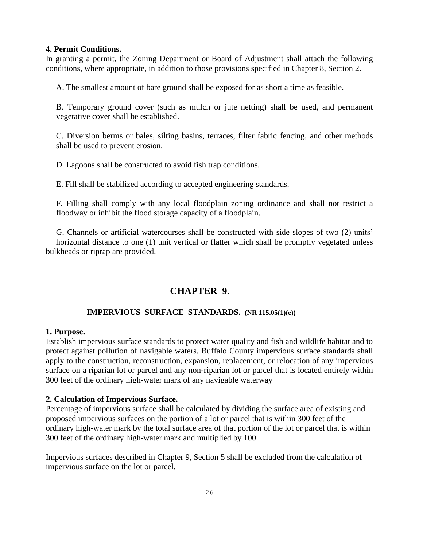#### **4. Permit Conditions.**

In granting a permit, the Zoning Department or Board of Adjustment shall attach the following conditions, where appropriate, in addition to those provisions specified in Chapter 8, Section 2.

A. The smallest amount of bare ground shall be exposed for as short a time as feasible.

 B. Temporary ground cover (such as mulch or jute netting) shall be used, and permanent vegetative cover shall be established.

 C. Diversion berms or bales, silting basins, terraces, filter fabric fencing, and other methods shall be used to prevent erosion.

D. Lagoons shall be constructed to avoid fish trap conditions.

E. Fill shall be stabilized according to accepted engineering standards.

 F. Filling shall comply with any local floodplain zoning ordinance and shall not restrict a floodway or inhibit the flood storage capacity of a floodplain.

 G. Channels or artificial watercourses shall be constructed with side slopes of two (2) units' horizontal distance to one (1) unit vertical or flatter which shall be promptly vegetated unless bulkheads or riprap are provided.

# **CHAPTER 9.**

# **IMPERVIOUS SURFACE STANDARDS. (NR 115.05(1)(e))**

#### **1. Purpose.**

Establish impervious surface standards to protect water quality and fish and wildlife habitat and to protect against pollution of navigable waters. Buffalo County impervious surface standards shall apply to the construction, reconstruction, expansion, replacement, or relocation of any impervious surface on a riparian lot or parcel and any non-riparian lot or parcel that is located entirely within 300 feet of the ordinary high-water mark of any navigable waterway

# **2. Calculation of Impervious Surface.**

Percentage of impervious surface shall be calculated by dividing the surface area of existing and proposed impervious surfaces on the portion of a lot or parcel that is within 300 feet of the ordinary high-water mark by the total surface area of that portion of the lot or parcel that is within 300 feet of the ordinary high-water mark and multiplied by 100.

Impervious surfaces described in Chapter 9, Section 5 shall be excluded from the calculation of impervious surface on the lot or parcel.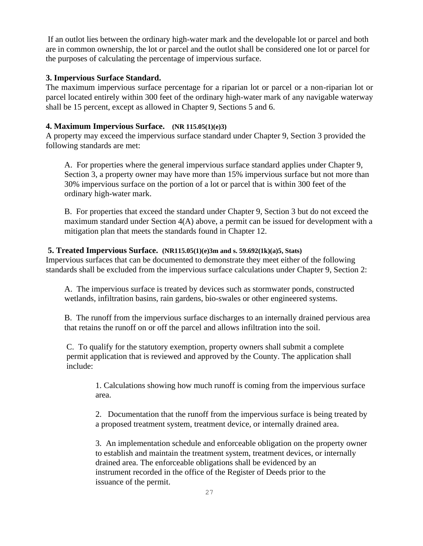If an outlot lies between the ordinary high-water mark and the developable lot or parcel and both are in common ownership, the lot or parcel and the outlot shall be considered one lot or parcel for the purposes of calculating the percentage of impervious surface.

# **3. Impervious Surface Standard.**

The maximum impervious surface percentage for a riparian lot or parcel or a non-riparian lot or parcel located entirely within 300 feet of the ordinary high-water mark of any navigable waterway shall be 15 percent, except as allowed in Chapter 9, Sections 5 and 6.

# **4. Maximum Impervious Surface. (NR 115.05(1)(e)3)**

A property may exceed the impervious surface standard under Chapter 9, Section 3 provided the following standards are met:

A. For properties where the general impervious surface standard applies under Chapter 9, Section 3, a property owner may have more than 15% impervious surface but not more than 30% impervious surface on the portion of a lot or parcel that is within 300 feet of the ordinary high-water mark.

B. For properties that exceed the standard under Chapter 9, Section 3 but do not exceed the maximum standard under Section 4(A) above, a permit can be issued for development with a mitigation plan that meets the standards found in Chapter 12.

# **5. Treated Impervious Surface. (NR115.05(1)(e)3m and s. 59.692(1k)(a)5, Stats)**

Impervious surfaces that can be documented to demonstrate they meet either of the following standards shall be excluded from the impervious surface calculations under Chapter 9, Section 2:

A. The impervious surface is treated by devices such as stormwater ponds, constructed wetlands, infiltration basins, rain gardens, bio-swales or other engineered systems.

B. The runoff from the impervious surface discharges to an internally drained pervious area that retains the runoff on or off the parcel and allows infiltration into the soil.

C. To qualify for the statutory exemption, property owners shall submit a complete permit application that is reviewed and approved by the County. The application shall include:

1. Calculations showing how much runoff is coming from the impervious surface area.

2. Documentation that the runoff from the impervious surface is being treated by a proposed treatment system, treatment device, or internally drained area.

3. An implementation schedule and enforceable obligation on the property owner to establish and maintain the treatment system, treatment devices, or internally drained area. The enforceable obligations shall be evidenced by an instrument recorded in the office of the Register of Deeds prior to the issuance of the permit.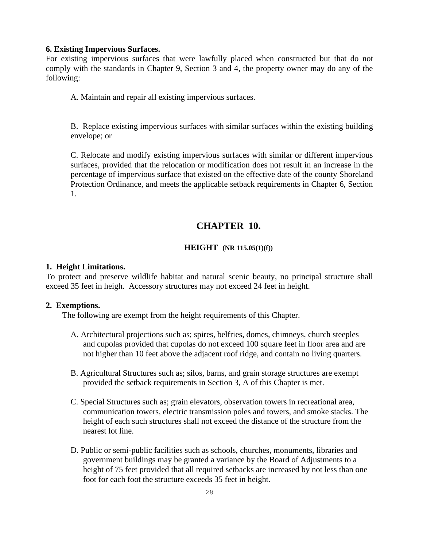#### **6. Existing Impervious Surfaces.**

For existing impervious surfaces that were lawfully placed when constructed but that do not comply with the standards in Chapter 9, Section 3 and 4, the property owner may do any of the following:

A. Maintain and repair all existing impervious surfaces.

B. Replace existing impervious surfaces with similar surfaces within the existing building envelope; or

C. Relocate and modify existing impervious surfaces with similar or different impervious surfaces, provided that the relocation or modification does not result in an increase in the percentage of impervious surface that existed on the effective date of the county Shoreland Protection Ordinance, and meets the applicable setback requirements in Chapter 6, Section 1.

# **CHAPTER 10.**

#### **HEIGHT (NR 115.05(1)(f))**

#### **1. Height Limitations.**

To protect and preserve wildlife habitat and natural scenic beauty, no principal structure shall exceed 35 feet in heigh. Accessory structures may not exceed 24 feet in height.

#### **2. Exemptions.**

The following are exempt from the height requirements of this Chapter.

- A. Architectural projections such as; spires, belfries, domes, chimneys, church steeples and cupolas provided that cupolas do not exceed 100 square feet in floor area and are not higher than 10 feet above the adjacent roof ridge, and contain no living quarters.
- B. Agricultural Structures such as; silos, barns, and grain storage structures are exempt provided the setback requirements in Section 3, A of this Chapter is met.
- C. Special Structures such as; grain elevators, observation towers in recreational area, communication towers, electric transmission poles and towers, and smoke stacks. The height of each such structures shall not exceed the distance of the structure from the nearest lot line.
- D. Public or semi-public facilities such as schools, churches, monuments, libraries and government buildings may be granted a variance by the Board of Adjustments to a height of 75 feet provided that all required setbacks are increased by not less than one foot for each foot the structure exceeds 35 feet in height.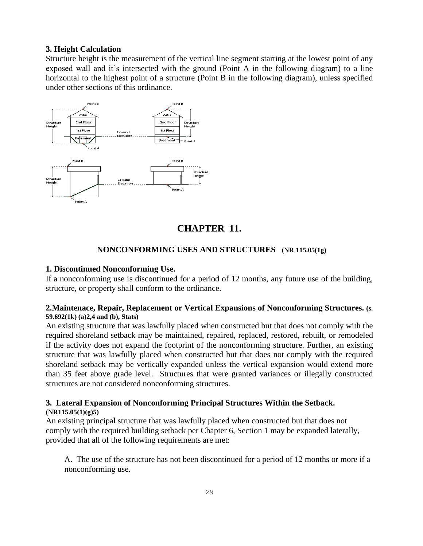# **3. Height Calculation**

Structure height is the measurement of the vertical line segment starting at the lowest point of any exposed wall and it's intersected with the ground (Point A in the following diagram) to a line horizontal to the highest point of a structure (Point B in the following diagram), unless specified under other sections of this ordinance.



# **CHAPTER 11.**

# **NONCONFORMING USES AND STRUCTURES (NR 115.05(1g)**

#### **1. Discontinued Nonconforming Use.**

If a nonconforming use is discontinued for a period of 12 months, any future use of the building, structure, or property shall conform to the ordinance.

#### **2.Maintenace, Repair, Replacement or Vertical Expansions of Nonconforming Structures. (s. 59.692(1k) (a)2,4 and (b), Stats)**

An existing structure that was lawfully placed when constructed but that does not comply with the required shoreland setback may be maintained, repaired, replaced, restored, rebuilt, or remodeled if the activity does not expand the footprint of the nonconforming structure. Further, an existing structure that was lawfully placed when constructed but that does not comply with the required shoreland setback may be vertically expanded unless the vertical expansion would extend more than 35 feet above grade level. Structures that were granted variances or illegally constructed structures are not considered nonconforming structures.

#### **3. Lateral Expansion of Nonconforming Principal Structures Within the Setback. (NR115.05(1)(g)5)**

An existing principal structure that was lawfully placed when constructed but that does not comply with the required building setback per Chapter 6, Section 1 may be expanded laterally, provided that all of the following requirements are met:

A. The use of the structure has not been discontinued for a period of 12 months or more if a nonconforming use.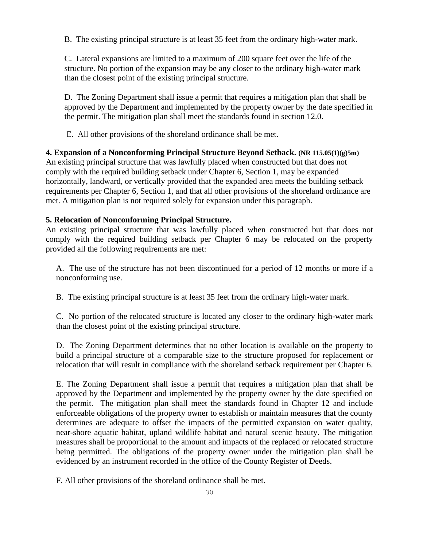B. The existing principal structure is at least 35 feet from the ordinary high-water mark.

C. Lateral expansions are limited to a maximum of 200 square feet over the life of the structure. No portion of the expansion may be any closer to the ordinary high-water mark than the closest point of the existing principal structure.

D. The Zoning Department shall issue a permit that requires a mitigation plan that shall be approved by the Department and implemented by the property owner by the date specified in the permit. The mitigation plan shall meet the standards found in section 12.0.

E. All other provisions of the shoreland ordinance shall be met.

**4. Expansion of a Nonconforming Principal Structure Beyond Setback. (NR 115.05(1)(g)5m)** An existing principal structure that was lawfully placed when constructed but that does not comply with the required building setback under Chapter 6, Section 1, may be expanded horizontally, landward, or vertically provided that the expanded area meets the building setback requirements per Chapter 6, Section 1, and that all other provisions of the shoreland ordinance are met. A mitigation plan is not required solely for expansion under this paragraph.

# **5. Relocation of Nonconforming Principal Structure.**

An existing principal structure that was lawfully placed when constructed but that does not comply with the required building setback per Chapter 6 may be relocated on the property provided all the following requirements are met:

 A. The use of the structure has not been discontinued for a period of 12 months or more if a nonconforming use.

B. The existing principal structure is at least 35 feet from the ordinary high-water mark.

 C. No portion of the relocated structure is located any closer to the ordinary high-water mark than the closest point of the existing principal structure.

 D. The Zoning Department determines that no other location is available on the property to build a principal structure of a comparable size to the structure proposed for replacement or relocation that will result in compliance with the shoreland setback requirement per Chapter 6.

 E. The Zoning Department shall issue a permit that requires a mitigation plan that shall be approved by the Department and implemented by the property owner by the date specified on the permit. The mitigation plan shall meet the standards found in Chapter 12 and include enforceable obligations of the property owner to establish or maintain measures that the county determines are adequate to offset the impacts of the permitted expansion on water quality, near-shore aquatic habitat, upland wildlife habitat and natural scenic beauty. The mitigation measures shall be proportional to the amount and impacts of the replaced or relocated structure being permitted. The obligations of the property owner under the mitigation plan shall be evidenced by an instrument recorded in the office of the County Register of Deeds.

F. All other provisions of the shoreland ordinance shall be met.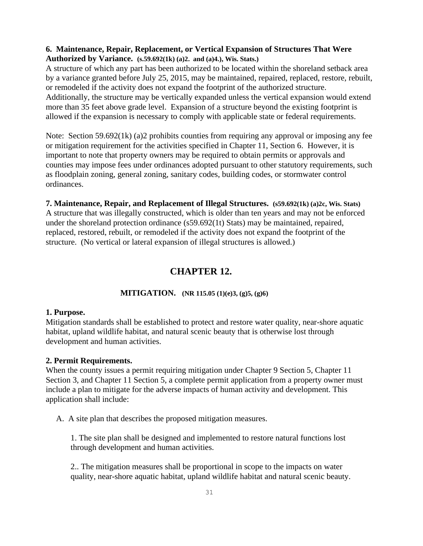# **6. Maintenance, Repair, Replacement, or Vertical Expansion of Structures That Were Authorized by Variance. (s.59.692(1k) (a)2. and (a)4.), Wis. Stats.)**

A structure of which any part has been authorized to be located within the shoreland setback area by a variance granted before July 25, 2015, may be maintained, repaired, replaced, restore, rebuilt, or remodeled if the activity does not expand the footprint of the authorized structure. Additionally, the structure may be vertically expanded unless the vertical expansion would extend more than 35 feet above grade level. Expansion of a structure beyond the existing footprint is allowed if the expansion is necessary to comply with applicable state or federal requirements.

Note: Section 59.692(1k) (a)2 prohibits counties from requiring any approval or imposing any fee or mitigation requirement for the activities specified in Chapter 11, Section 6. However, it is important to note that property owners may be required to obtain permits or approvals and counties may impose fees under ordinances adopted pursuant to other statutory requirements, such as floodplain zoning, general zoning, sanitary codes, building codes, or stormwater control ordinances.

**7. Maintenance, Repair, and Replacement of Illegal Structures. (s59.692(1k) (a)2c, Wis. Stats)** A structure that was illegally constructed, which is older than ten years and may not be enforced under the shoreland protection ordinance (s59.692(1t) Stats) may be maintained, repaired, replaced, restored, rebuilt, or remodeled if the activity does not expand the footprint of the structure. (No vertical or lateral expansion of illegal structures is allowed.)

# **CHAPTER 12.**

# **MITIGATION. (NR 115.05 (1)(e)3, (g)5, (g)6)**

#### **1. Purpose.**

Mitigation standards shall be established to protect and restore water quality, near-shore aquatic habitat, upland wildlife habitat, and natural scenic beauty that is otherwise lost through development and human activities.

# **2. Permit Requirements.**

When the county issues a permit requiring mitigation under Chapter 9 Section 5, Chapter 11 Section 3, and Chapter 11 Section 5, a complete permit application from a property owner must include a plan to mitigate for the adverse impacts of human activity and development. This application shall include:

A. A site plan that describes the proposed mitigation measures.

1. The site plan shall be designed and implemented to restore natural functions lost through development and human activities.

2.. The mitigation measures shall be proportional in scope to the impacts on water quality, near-shore aquatic habitat, upland wildlife habitat and natural scenic beauty.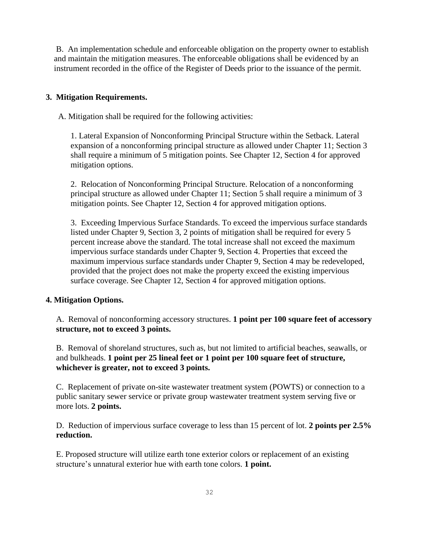B. An implementation schedule and enforceable obligation on the property owner to establish and maintain the mitigation measures. The enforceable obligations shall be evidenced by an instrument recorded in the office of the Register of Deeds prior to the issuance of the permit.

# **3. Mitigation Requirements.**

A. Mitigation shall be required for the following activities:

1. Lateral Expansion of Nonconforming Principal Structure within the Setback. Lateral expansion of a nonconforming principal structure as allowed under Chapter 11; Section 3 shall require a minimum of 5 mitigation points. See Chapter 12, Section 4 for approved mitigation options.

2. Relocation of Nonconforming Principal Structure. Relocation of a nonconforming principal structure as allowed under Chapter 11; Section 5 shall require a minimum of 3 mitigation points. See Chapter 12, Section 4 for approved mitigation options.

3. Exceeding Impervious Surface Standards. To exceed the impervious surface standards listed under Chapter 9, Section 3, 2 points of mitigation shall be required for every 5 percent increase above the standard. The total increase shall not exceed the maximum impervious surface standards under Chapter 9, Section 4. Properties that exceed the maximum impervious surface standards under Chapter 9, Section 4 may be redeveloped, provided that the project does not make the property exceed the existing impervious surface coverage. See Chapter 12, Section 4 for approved mitigation options.

# **4. Mitigation Options.**

 A. Removal of nonconforming accessory structures. **1 point per 100 square feet of accessory structure, not to exceed 3 points.** 

 B. Removal of shoreland structures, such as, but not limited to artificial beaches, seawalls, or and bulkheads. **1 point per 25 lineal feet or 1 point per 100 square feet of structure, whichever is greater, not to exceed 3 points.** 

 C. Replacement of private on-site wastewater treatment system (POWTS) or connection to a public sanitary sewer service or private group wastewater treatment system serving five or more lots. **2 points.** 

 D. Reduction of impervious surface coverage to less than 15 percent of lot. **2 points per 2.5% reduction.**

 E. Proposed structure will utilize earth tone exterior colors or replacement of an existing structure's unnatural exterior hue with earth tone colors. **1 point.**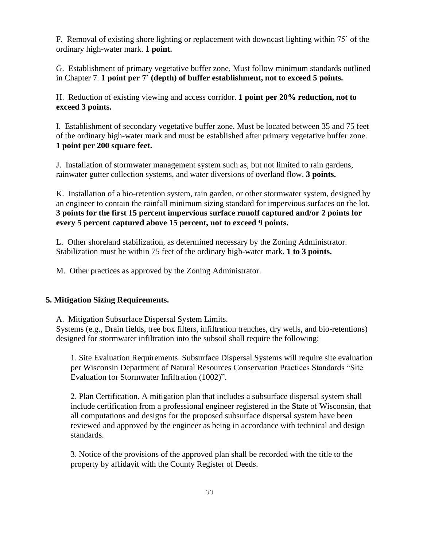F. Removal of existing shore lighting or replacement with downcast lighting within 75' of the ordinary high-water mark. **1 point.** 

 G. Establishment of primary vegetative buffer zone. Must follow minimum standards outlined in Chapter 7. **1 point per 7' (depth) of buffer establishment, not to exceed 5 points.** 

 H. Reduction of existing viewing and access corridor. **1 point per 20% reduction, not to exceed 3 points.** 

 I. Establishment of secondary vegetative buffer zone. Must be located between 35 and 75 feet of the ordinary high-water mark and must be established after primary vegetative buffer zone. **1 point per 200 square feet.** 

 J. Installation of stormwater management system such as, but not limited to rain gardens, rainwater gutter collection systems, and water diversions of overland flow. **3 points.** 

 K. Installation of a bio-retention system, rain garden, or other stormwater system, designed by an engineer to contain the rainfall minimum sizing standard for impervious surfaces on the lot. **3 points for the first 15 percent impervious surface runoff captured and/or 2 points for every 5 percent captured above 15 percent, not to exceed 9 points.** 

 L. Other shoreland stabilization, as determined necessary by the Zoning Administrator. Stabilization must be within 75 feet of the ordinary high-water mark. **1 to 3 points.** 

M. Other practices as approved by the Zoning Administrator.

# **5. Mitigation Sizing Requirements.**

A. Mitigation Subsurface Dispersal System Limits.

 Systems (e.g., Drain fields, tree box filters, infiltration trenches, dry wells, and bio-retentions) designed for stormwater infiltration into the subsoil shall require the following:

1. Site Evaluation Requirements. Subsurface Dispersal Systems will require site evaluation per Wisconsin Department of Natural Resources Conservation Practices Standards "Site Evaluation for Stormwater Infiltration (1002)".

2. Plan Certification. A mitigation plan that includes a subsurface dispersal system shall include certification from a professional engineer registered in the State of Wisconsin, that all computations and designs for the proposed subsurface dispersal system have been reviewed and approved by the engineer as being in accordance with technical and design standards.

3. Notice of the provisions of the approved plan shall be recorded with the title to the property by affidavit with the County Register of Deeds.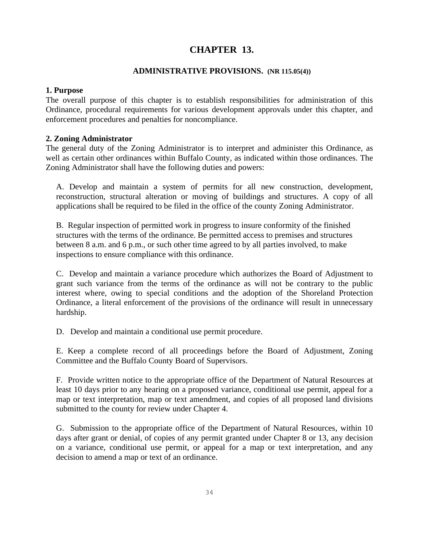# **CHAPTER 13.**

#### **ADMINISTRATIVE PROVISIONS. (NR 115.05(4))**

#### **1. Purpose**

The overall purpose of this chapter is to establish responsibilities for administration of this Ordinance, procedural requirements for various development approvals under this chapter, and enforcement procedures and penalties for noncompliance.

# **2. Zoning Administrator**

The general duty of the Zoning Administrator is to interpret and administer this Ordinance, as well as certain other ordinances within Buffalo County, as indicated within those ordinances. The Zoning Administrator shall have the following duties and powers:

 A. Develop and maintain a system of permits for all new construction, development, reconstruction, structural alteration or moving of buildings and structures. A copy of all applications shall be required to be filed in the office of the county Zoning Administrator.

 B. Regular inspection of permitted work in progress to insure conformity of the finished structures with the terms of the ordinance. Be permitted access to premises and structures between 8 a.m. and 6 p.m., or such other time agreed to by all parties involved, to make inspections to ensure compliance with this ordinance.

 C. Develop and maintain a variance procedure which authorizes the Board of Adjustment to grant such variance from the terms of the ordinance as will not be contrary to the public interest where, owing to special conditions and the adoption of the Shoreland Protection Ordinance, a literal enforcement of the provisions of the ordinance will result in unnecessary hardship.

D. Develop and maintain a conditional use permit procedure.

 E. Keep a complete record of all proceedings before the Board of Adjustment, Zoning Committee and the Buffalo County Board of Supervisors.

 F. Provide written notice to the appropriate office of the Department of Natural Resources at least 10 days prior to any hearing on a proposed variance, conditional use permit, appeal for a map or text interpretation, map or text amendment, and copies of all proposed land divisions submitted to the county for review under Chapter 4.

 G. Submission to the appropriate office of the Department of Natural Resources, within 10 days after grant or denial, of copies of any permit granted under Chapter 8 or 13, any decision on a variance, conditional use permit, or appeal for a map or text interpretation, and any decision to amend a map or text of an ordinance.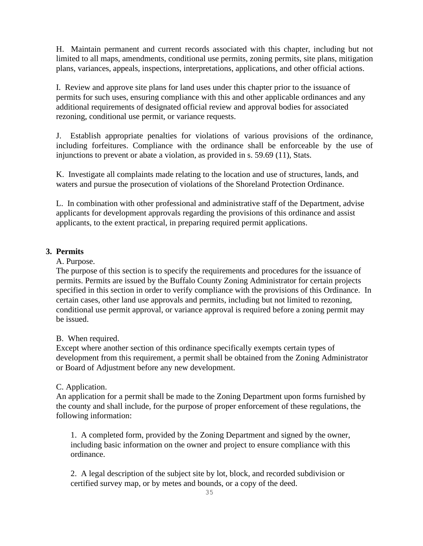H. Maintain permanent and current records associated with this chapter, including but not limited to all maps, amendments, conditional use permits, zoning permits, site plans, mitigation plans, variances, appeals, inspections, interpretations, applications, and other official actions.

 I. Review and approve site plans for land uses under this chapter prior to the issuance of permits for such uses, ensuring compliance with this and other applicable ordinances and any additional requirements of designated official review and approval bodies for associated rezoning, conditional use permit, or variance requests.

 J. Establish appropriate penalties for violations of various provisions of the ordinance, including forfeitures. Compliance with the ordinance shall be enforceable by the use of injunctions to prevent or abate a violation, as provided in s. 59.69 (11), Stats.

 K. Investigate all complaints made relating to the location and use of structures, lands, and waters and pursue the prosecution of violations of the Shoreland Protection Ordinance.

 L. In combination with other professional and administrative staff of the Department, advise applicants for development approvals regarding the provisions of this ordinance and assist applicants, to the extent practical, in preparing required permit applications.

# **3. Permits**

A. Purpose.

 The purpose of this section is to specify the requirements and procedures for the issuance of permits. Permits are issued by the Buffalo County Zoning Administrator for certain projects specified in this section in order to verify compliance with the provisions of this Ordinance. In certain cases, other land use approvals and permits, including but not limited to rezoning, conditional use permit approval, or variance approval is required before a zoning permit may be issued.

# B. When required.

 Except where another section of this ordinance specifically exempts certain types of development from this requirement, a permit shall be obtained from the Zoning Administrator or Board of Adjustment before any new development.

# C. Application.

 An application for a permit shall be made to the Zoning Department upon forms furnished by the county and shall include, for the purpose of proper enforcement of these regulations, the following information:

1. A completed form, provided by the Zoning Department and signed by the owner, including basic information on the owner and project to ensure compliance with this ordinance.

2. A legal description of the subject site by lot, block, and recorded subdivision or certified survey map, or by metes and bounds, or a copy of the deed.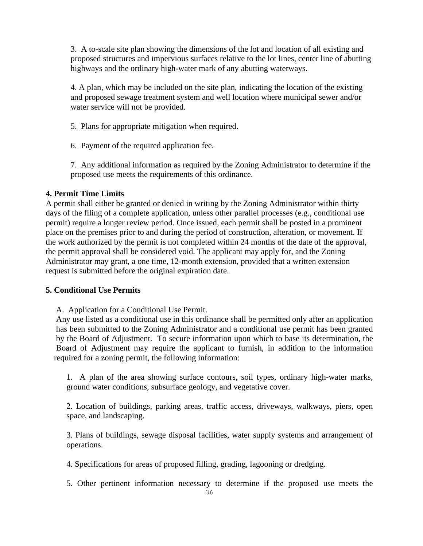3. A to-scale site plan showing the dimensions of the lot and location of all existing and proposed structures and impervious surfaces relative to the lot lines, center line of abutting highways and the ordinary high-water mark of any abutting waterways.

4. A plan, which may be included on the site plan, indicating the location of the existing and proposed sewage treatment system and well location where municipal sewer and/or water service will not be provided.

- 5. Plans for appropriate mitigation when required.
- 6. Payment of the required application fee.

7. Any additional information as required by the Zoning Administrator to determine if the proposed use meets the requirements of this ordinance.

# **4. Permit Time Limits**

A permit shall either be granted or denied in writing by the Zoning Administrator within thirty days of the filing of a complete application, unless other parallel processes (e.g., conditional use permit) require a longer review period. Once issued, each permit shall be posted in a prominent place on the premises prior to and during the period of construction, alteration, or movement. If the work authorized by the permit is not completed within 24 months of the date of the approval, the permit approval shall be considered void. The applicant may apply for, and the Zoning Administrator may grant, a one time, 12-month extension, provided that a written extension request is submitted before the original expiration date.

# **5. Conditional Use Permits**

A. Application for a Conditional Use Permit.

 Any use listed as a conditional use in this ordinance shall be permitted only after an application has been submitted to the Zoning Administrator and a conditional use permit has been granted by the Board of Adjustment. To secure information upon which to base its determination, the Board of Adjustment may require the applicant to furnish, in addition to the information required for a zoning permit, the following information:

1. A plan of the area showing surface contours, soil types, ordinary high-water marks, ground water conditions, subsurface geology, and vegetative cover.

2. Location of buildings, parking areas, traffic access, driveways, walkways, piers, open space, and landscaping.

3. Plans of buildings, sewage disposal facilities, water supply systems and arrangement of operations.

4. Specifications for areas of proposed filling, grading, lagooning or dredging.

5. Other pertinent information necessary to determine if the proposed use meets the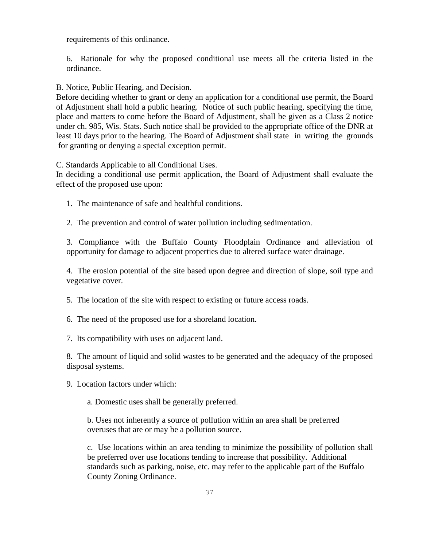requirements of this ordinance.

6. Rationale for why the proposed conditional use meets all the criteria listed in the ordinance.

B. Notice, Public Hearing, and Decision.

 Before deciding whether to grant or deny an application for a conditional use permit, the Board of Adjustment shall hold a public hearing. Notice of such public hearing, specifying the time, place and matters to come before the Board of Adjustment, shall be given as a Class 2 notice under ch. 985, Wis. Stats. Such notice shall be provided to the appropriate office of the DNR at least 10 days prior to the hearing. The Board of Adjustment shall state in writing the grounds for granting or denying a special exception permit.

C. Standards Applicable to all Conditional Uses.

 In deciding a conditional use permit application, the Board of Adjustment shall evaluate the effect of the proposed use upon:

1. The maintenance of safe and healthful conditions.

2. The prevention and control of water pollution including sedimentation.

3. Compliance with the Buffalo County Floodplain Ordinance and alleviation of opportunity for damage to adjacent properties due to altered surface water drainage.

4. The erosion potential of the site based upon degree and direction of slope, soil type and vegetative cover.

5. The location of the site with respect to existing or future access roads.

6. The need of the proposed use for a shoreland location.

7. Its compatibility with uses on adjacent land.

8. The amount of liquid and solid wastes to be generated and the adequacy of the proposed disposal systems.

9. Location factors under which:

a. Domestic uses shall be generally preferred.

b. Uses not inherently a source of pollution within an area shall be preferred overuses that are or may be a pollution source.

c. Use locations within an area tending to minimize the possibility of pollution shall be preferred over use locations tending to increase that possibility. Additional standards such as parking, noise, etc. may refer to the applicable part of the Buffalo County Zoning Ordinance.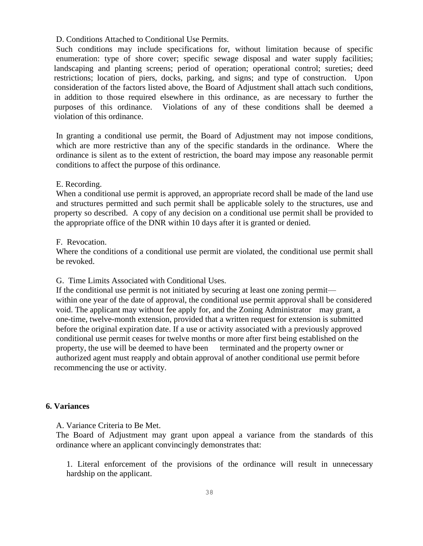#### D. Conditions Attached to Conditional Use Permits.

 Such conditions may include specifications for, without limitation because of specific enumeration: type of shore cover; specific sewage disposal and water supply facilities; landscaping and planting screens; period of operation; operational control; sureties; deed restrictions; location of piers, docks, parking, and signs; and type of construction. Upon consideration of the factors listed above, the Board of Adjustment shall attach such conditions, in addition to those required elsewhere in this ordinance, as are necessary to further the purposes of this ordinance. Violations of any of these conditions shall be deemed a violation of this ordinance.

 In granting a conditional use permit, the Board of Adjustment may not impose conditions, which are more restrictive than any of the specific standards in the ordinance. Where the ordinance is silent as to the extent of restriction, the board may impose any reasonable permit conditions to affect the purpose of this ordinance.

#### E. Recording.

 When a conditional use permit is approved, an appropriate record shall be made of the land use and structures permitted and such permit shall be applicable solely to the structures, use and property so described. A copy of any decision on a conditional use permit shall be provided to the appropriate office of the DNR within 10 days after it is granted or denied.

#### F. Revocation.

 Where the conditions of a conditional use permit are violated, the conditional use permit shall be revoked.

G. Time Limits Associated with Conditional Uses.

 If the conditional use permit is not initiated by securing at least one zoning permit within one year of the date of approval, the conditional use permit approval shall be considered void. The applicant may without fee apply for, and the Zoning Administrator may grant, a one-time, twelve-month extension, provided that a written request for extension is submitted before the original expiration date. If a use or activity associated with a previously approved conditional use permit ceases for twelve months or more after first being established on the property, the use will be deemed to have been terminated and the property owner or authorized agent must reapply and obtain approval of another conditional use permit before recommencing the use or activity.

#### **6. Variances**

A. Variance Criteria to Be Met.

 The Board of Adjustment may grant upon appeal a variance from the standards of this ordinance where an applicant convincingly demonstrates that:

1. Literal enforcement of the provisions of the ordinance will result in unnecessary hardship on the applicant.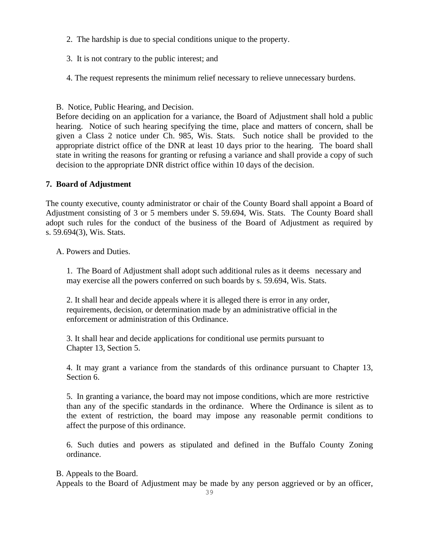- 2. The hardship is due to special conditions unique to the property.
- 3. It is not contrary to the public interest; and
- 4. The request represents the minimum relief necessary to relieve unnecessary burdens.
- B. Notice, Public Hearing, and Decision.

 Before deciding on an application for a variance, the Board of Adjustment shall hold a public hearing. Notice of such hearing specifying the time, place and matters of concern, shall be given a Class 2 notice under Ch. 985, Wis. Stats. Such notice shall be provided to the appropriate district office of the DNR at least 10 days prior to the hearing. The board shall state in writing the reasons for granting or refusing a variance and shall provide a copy of such decision to the appropriate DNR district office within 10 days of the decision.

# **7. Board of Adjustment**

The county executive, county administrator or chair of the County Board shall appoint a Board of Adjustment consisting of 3 or 5 members under S. 59.694, Wis. Stats. The County Board shall adopt such rules for the conduct of the business of the Board of Adjustment as required by s. 59.694(3), Wis. Stats.

A. Powers and Duties.

1. The Board of Adjustment shall adopt such additional rules as it deems necessary and may exercise all the powers conferred on such boards by s. 59.694, Wis. Stats.

2. It shall hear and decide appeals where it is alleged there is error in any order, requirements, decision, or determination made by an administrative official in the enforcement or administration of this Ordinance.

3. It shall hear and decide applications for conditional use permits pursuant to Chapter 13, Section 5.

4. It may grant a variance from the standards of this ordinance pursuant to Chapter 13, Section 6.

5. In granting a variance, the board may not impose conditions, which are more restrictive than any of the specific standards in the ordinance. Where the Ordinance is silent as to the extent of restriction, the board may impose any reasonable permit conditions to affect the purpose of this ordinance.

6. Such duties and powers as stipulated and defined in the Buffalo County Zoning ordinance.

B. Appeals to the Board.

Appeals to the Board of Adjustment may be made by any person aggrieved or by an officer,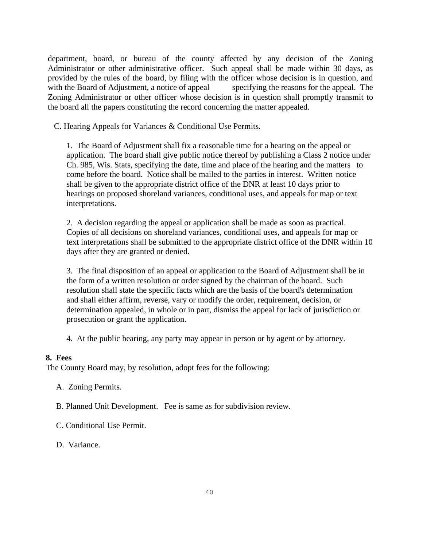department, board, or bureau of the county affected by any decision of the Zoning Administrator or other administrative officer. Such appeal shall be made within 30 days, as provided by the rules of the board, by filing with the officer whose decision is in question, and with the Board of Adjustment, a notice of appeal specifying the reasons for the appeal. The Zoning Administrator or other officer whose decision is in question shall promptly transmit to the board all the papers constituting the record concerning the matter appealed.

C. Hearing Appeals for Variances & Conditional Use Permits.

1. The Board of Adjustment shall fix a reasonable time for a hearing on the appeal or application. The board shall give public notice thereof by publishing a Class 2 notice under Ch. 985, Wis. Stats, specifying the date, time and place of the hearing and the matters to come before the board. Notice shall be mailed to the parties in interest. Written notice shall be given to the appropriate district office of the DNR at least 10 days prior to hearings on proposed shoreland variances, conditional uses, and appeals for map or text interpretations.

2. A decision regarding the appeal or application shall be made as soon as practical. Copies of all decisions on shoreland variances, conditional uses, and appeals for map or text interpretations shall be submitted to the appropriate district office of the DNR within 10 days after they are granted or denied.

3. The final disposition of an appeal or application to the Board of Adjustment shall be in the form of a written resolution or order signed by the chairman of the board. Such resolution shall state the specific facts which are the basis of the board's determination and shall either affirm, reverse, vary or modify the order, requirement, decision, or determination appealed, in whole or in part, dismiss the appeal for lack of jurisdiction or prosecution or grant the application.

4. At the public hearing, any party may appear in person or by agent or by attorney.

#### **8. Fees**

The County Board may, by resolution, adopt fees for the following:

- A. Zoning Permits.
- B. Planned Unit Development. Fee is same as for subdivision review.
- C. Conditional Use Permit.

D. Variance.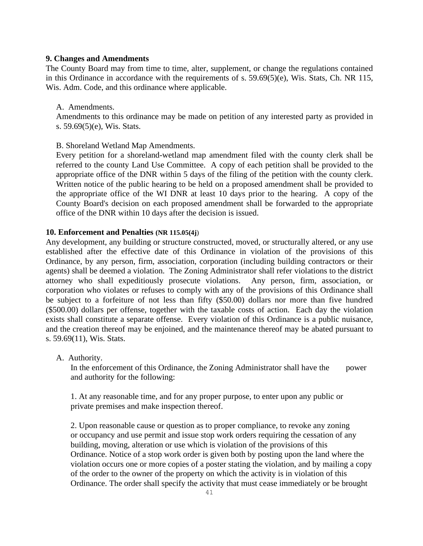#### **9. Changes and Amendments**

The County Board may from time to time, alter, supplement, or change the regulations contained in this Ordinance in accordance with the requirements of s. 59.69(5)(e), Wis. Stats, Ch. NR 115, Wis. Adm. Code, and this ordinance where applicable.

#### A. Amendments.

 Amendments to this ordinance may be made on petition of any interested party as provided in s. 59.69(5)(e), Wis. Stats.

# B. Shoreland Wetland Map Amendments.

 Every petition for a shoreland-wetland map amendment filed with the county clerk shall be referred to the county Land Use Committee. A copy of each petition shall be provided to the appropriate office of the DNR within 5 days of the filing of the petition with the county clerk. Written notice of the public hearing to be held on a proposed amendment shall be provided to the appropriate office of the WI DNR at least 10 days prior to the hearing.A copy of the County Board's decision on each proposed amendment shall be forwarded to the appropriate office of the DNR within 10 days after the decision is issued.

#### **10. Enforcement and Penalties (NR 115.05(4j**)

Any development, any building or structure constructed, moved, or structurally altered, or any use established after the effective date of this Ordinance in violation of the provisions of this Ordinance, by any person, firm, association, corporation (including building contractors or their agents) shall be deemed a violation. The Zoning Administrator shall refer violations to the district attorney who shall expeditiously prosecute violations. Any person, firm, association, or corporation who violates or refuses to comply with any of the provisions of this Ordinance shall be subject to a forfeiture of not less than fifty (\$50.00) dollars nor more than five hundred (\$500.00) dollars per offense, together with the taxable costs of action. Each day the violation exists shall constitute a separate offense. Every violation of this Ordinance is a public nuisance, and the creation thereof may be enjoined, and the maintenance thereof may be abated pursuant to s. 59.69(11), Wis. Stats.

A. Authority.

In the enforcement of this Ordinance, the Zoning Administrator shall have the power and authority for the following:

1. At any reasonable time, and for any proper purpose, to enter upon any public or private premises and make inspection thereof.

2. Upon reasonable cause or question as to proper compliance, to revoke any zoning or occupancy and use permit and issue stop work orders requiring the cessation of any building, moving, alteration or use which is violation of the provisions of this Ordinance. Notice of a stop work order is given both by posting upon the land where the violation occurs one or more copies of a poster stating the violation, and by mailing a copy of the order to the owner of the property on which the activity is in violation of this Ordinance. The order shall specify the activity that must cease immediately or be brought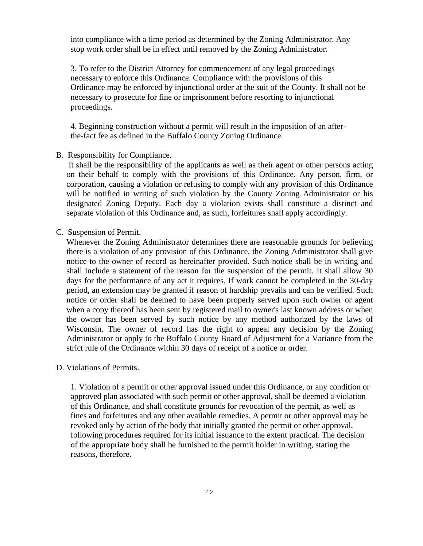into compliance with a time period as determined by the Zoning Administrator. Any stop work order shall be in effect until removed by the Zoning Administrator.

3. To refer to the District Attorney for commencement of any legal proceedings necessary to enforce this Ordinance. Compliance with the provisions of this Ordinance may be enforced by injunctional order at the suit of the County. It shall not be necessary to prosecute for fine or imprisonment before resorting to injunctional proceedings.

4. Beginning construction without a permit will result in the imposition of an afterthe-fact fee as defined in the Buffalo County Zoning Ordinance.

#### B. Responsibility for Compliance.

It shall be the responsibility of the applicants as well as their agent or other persons acting on their behalf to comply with the provisions of this Ordinance. Any person, firm, or corporation, causing a violation or refusing to comply with any provision of this Ordinance will be notified in writing of such violation by the County Zoning Administrator or his designated Zoning Deputy. Each day a violation exists shall constitute a distinct and separate violation of this Ordinance and, as such, forfeitures shall apply accordingly.

#### C. Suspension of Permit.

Whenever the Zoning Administrator determines there are reasonable grounds for believing there is a violation of any provision of this Ordinance, the Zoning Administrator shall give notice to the owner of record as hereinafter provided. Such notice shall be in writing and shall include a statement of the reason for the suspension of the permit. It shall allow 30 days for the performance of any act it requires. If work cannot be completed in the 30-day period, an extension may be granted if reason of hardship prevails and can be verified. Such notice or order shall be deemed to have been properly served upon such owner or agent when a copy thereof has been sent by registered mail to owner's last known address or when the owner has been served by such notice by any method authorized by the laws of Wisconsin. The owner of record has the right to appeal any decision by the Zoning Administrator or apply to the Buffalo County Board of Adjustment for a Variance from the strict rule of the Ordinance within 30 days of receipt of a notice or order.

#### D. Violations of Permits.

1. Violation of a permit or other approval issued under this Ordinance, or any condition or approved plan associated with such permit or other approval, shall be deemed a violation of this Ordinance, and shall constitute grounds for revocation of the permit, as well as fines and forfeitures and any other available remedies. A permit or other approval may be revoked only by action of the body that initially granted the permit or other approval, following procedures required for its initial issuance to the extent practical. The decision of the appropriate body shall be furnished to the permit holder in writing, stating the reasons, therefore.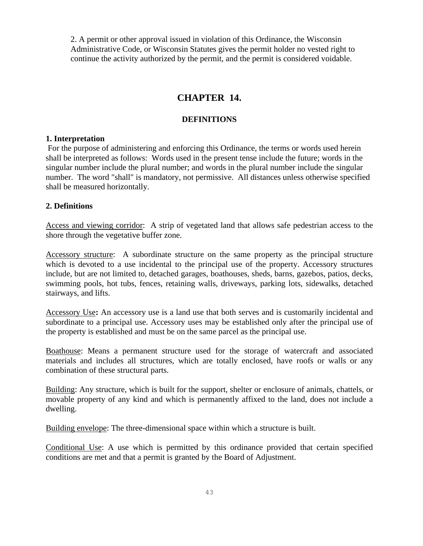2. A permit or other approval issued in violation of this Ordinance, the Wisconsin Administrative Code, or Wisconsin Statutes gives the permit holder no vested right to continue the activity authorized by the permit, and the permit is considered voidable.

# **CHAPTER 14.**

# **DEFINITIONS**

# **1. Interpretation**

For the purpose of administering and enforcing this Ordinance, the terms or words used herein shall be interpreted as follows: Words used in the present tense include the future; words in the singular number include the plural number; and words in the plural number include the singular number. The word "shall" is mandatory, not permissive. All distances unless otherwise specified shall be measured horizontally.

# **2. Definitions**

Access and viewing corridor: A strip of vegetated land that allows safe pedestrian access to the shore through the vegetative buffer zone.

Accessory structure: A subordinate structure on the same property as the principal structure which is devoted to a use incidental to the principal use of the property. Accessory structures include, but are not limited to, detached garages, boathouses, sheds, barns, gazebos, patios, decks, swimming pools, hot tubs, fences, retaining walls, driveways, parking lots, sidewalks, detached stairways, and lifts.

Accessory Use**:** An accessory use is a land use that both serves and is customarily incidental and subordinate to a principal use. Accessory uses may be established only after the principal use of the property is established and must be on the same parcel as the principal use.

Boathouse: Means a permanent structure used for the storage of watercraft and associated materials and includes all structures, which are totally enclosed, have roofs or walls or any combination of these structural parts.

Building: Any structure, which is built for the support, shelter or enclosure of animals, chattels, or movable property of any kind and which is permanently affixed to the land, does not include a dwelling.

Building envelope: The three-dimensional space within which a structure is built.

Conditional Use: A use which is permitted by this ordinance provided that certain specified conditions are met and that a permit is granted by the Board of Adjustment.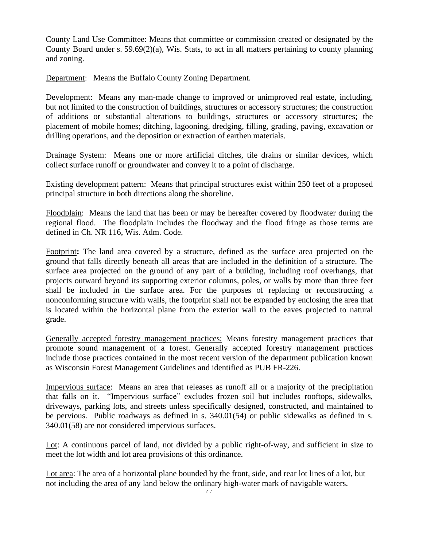County Land Use Committee: Means that committee or commission created or designated by the County Board under s. 59.69(2)(a), Wis. Stats, to act in all matters pertaining to county planning and zoning.

Department: Means the Buffalo County Zoning Department.

Development: Means any man-made change to improved or unimproved real estate, including, but not limited to the construction of buildings, structures or accessory structures; the construction of additions or substantial alterations to buildings, structures or accessory structures; the placement of mobile homes; ditching, lagooning, dredging, filling, grading, paving, excavation or drilling operations, and the deposition or extraction of earthen materials.

Drainage System: Means one or more artificial ditches, tile drains or similar devices, which collect surface runoff or groundwater and convey it to a point of discharge.

Existing development pattern: Means that principal structures exist within 250 feet of a proposed principal structure in both directions along the shoreline.

Floodplain: Means the land that has been or may be hereafter covered by floodwater during the regional flood. The floodplain includes the floodway and the flood fringe as those terms are defined in Ch. NR 116, Wis. Adm. Code.

Footprint**:** The land area covered by a structure, defined as the surface area projected on the ground that falls directly beneath all areas that are included in the definition of a structure. The surface area projected on the ground of any part of a building, including roof overhangs, that projects outward beyond its supporting exterior columns, poles, or walls by more than three feet shall be included in the surface area. For the purposes of replacing or reconstructing a nonconforming structure with walls, the footprint shall not be expanded by enclosing the area that is located within the horizontal plane from the exterior wall to the eaves projected to natural grade.

Generally accepted forestry management practices: Means forestry management practices that promote sound management of a forest. Generally accepted forestry management practices include those practices contained in the most recent version of the department publication known as Wisconsin Forest Management Guidelines and identified as PUB FR-226.

Impervious surface: Means an area that releases as runoff all or a majority of the precipitation that falls on it. "Impervious surface" excludes frozen soil but includes rooftops, sidewalks, driveways, parking lots, and streets unless specifically designed, constructed, and maintained to be pervious. Public roadways as defined in s. 340.01(54) or public sidewalks as defined in s. 340.01(58) are not considered impervious surfaces.

Lot: A continuous parcel of land, not divided by a public right-of-way, and sufficient in size to meet the lot width and lot area provisions of this ordinance.

Lot area: The area of a horizontal plane bounded by the front, side, and rear lot lines of a lot, but not including the area of any land below the ordinary high-water mark of navigable waters.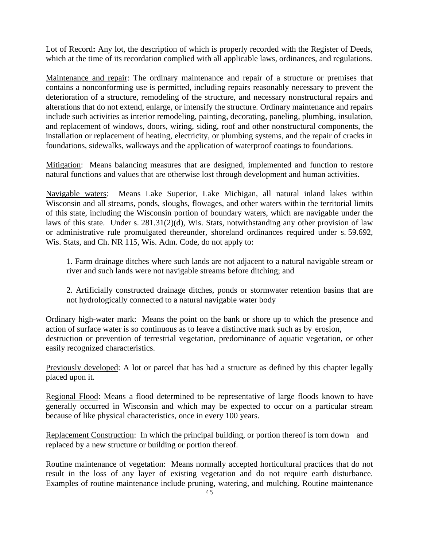Lot of Record**:** Any lot, the description of which is properly recorded with the Register of Deeds, which at the time of its recordation complied with all applicable laws, ordinances, and regulations.

Maintenance and repair: The ordinary maintenance and repair of a structure or premises that contains a nonconforming use is permitted, including repairs reasonably necessary to prevent the deterioration of a structure, remodeling of the structure, and necessary nonstructural repairs and alterations that do not extend, enlarge, or intensify the structure. Ordinary maintenance and repairs include such activities as interior remodeling, painting, decorating, paneling, plumbing, insulation, and replacement of windows, doors, wiring, siding, roof and other nonstructural components, the installation or replacement of heating, electricity, or plumbing systems, and the repair of cracks in foundations, sidewalks, walkways and the application of waterproof coatings to foundations.

Mitigation: Means balancing measures that are designed, implemented and function to restore natural functions and values that are otherwise lost through development and human activities.

Navigable waters: Means Lake Superior, Lake Michigan, all natural inland lakes within Wisconsin and all streams, ponds, sloughs, flowages, and other waters within the territorial limits of this state, including the Wisconsin portion of boundary waters, which are navigable under the laws of this state. Under s. 281.31(2)(d), Wis. Stats, notwithstanding any other provision of law or administrative rule promulgated thereunder, shoreland ordinances required under s. 59.692, Wis. Stats, and Ch. NR 115, Wis. Adm. Code, do not apply to:

1. Farm drainage ditches where such lands are not adjacent to a natural navigable stream or river and such lands were not navigable streams before ditching; and

2. Artificially constructed drainage ditches, ponds or stormwater retention basins that are not hydrologically connected to a natural navigable water body

Ordinary high-water mark: Means the point on the bank or shore up to which the presence and action of surface water is so continuous as to leave a distinctive mark such as by erosion, destruction or prevention of terrestrial vegetation, predominance of aquatic vegetation, or other easily recognized characteristics.

Previously developed: A lot or parcel that has had a structure as defined by this chapter legally placed upon it.

Regional Flood: Means a flood determined to be representative of large floods known to have generally occurred in Wisconsin and which may be expected to occur on a particular stream because of like physical characteristics, once in every 100 years.

Replacement Construction: In which the principal building, or portion thereof is torn down and replaced by a new structure or building or portion thereof.

Routine maintenance of vegetation: Means normally accepted horticultural practices that do not result in the loss of any layer of existing vegetation and do not require earth disturbance. Examples of routine maintenance include pruning, watering, and mulching. Routine maintenance